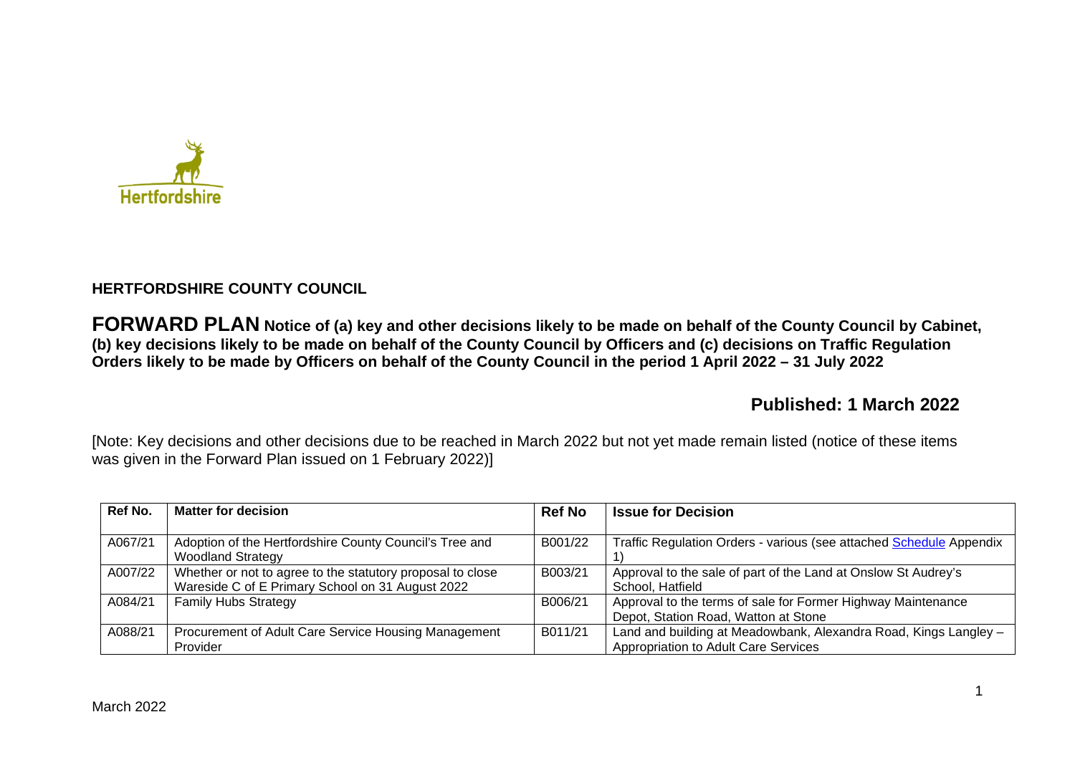

# **HERTFORDSHIRE COUNTY COUNCIL**

**FORWARD PLAN Notice of (a) key and other decisions likely to be made on behalf of the County Council by Cabinet, (b) key decisions likely to be made on behalf of the County Council by Officers and (c) decisions on Traffic Regulation Orders likely to be made by Officers on behalf of the County Council in the period 1 April 2022 – 31 July 2022** 

# **Published: 1 March 2022**

[Note: Key decisions and other decisions due to be reached in March 2022 but not yet made remain listed (notice of these items was given in the Forward Plan issued on 1 February 2022)]

| Ref No. | <b>Matter for decision</b>                                                                                     | <b>Ref No</b> | <b>Issue for Decision</b>                                                                                |
|---------|----------------------------------------------------------------------------------------------------------------|---------------|----------------------------------------------------------------------------------------------------------|
| A067/21 | Adoption of the Hertfordshire County Council's Tree and<br><b>Woodland Strategy</b>                            | B001/22       | Traffic Regulation Orders - various (see attached Schedule Appendix                                      |
| A007/22 | Whether or not to agree to the statutory proposal to close<br>Wareside C of E Primary School on 31 August 2022 | B003/21       | Approval to the sale of part of the Land at Onslow St Audrey's<br>School, Hatfield                       |
| A084/21 | <b>Family Hubs Strategy</b>                                                                                    | B006/21       | Approval to the terms of sale for Former Highway Maintenance<br>Depot, Station Road, Watton at Stone     |
| A088/21 | Procurement of Adult Care Service Housing Management<br>Provider                                               | B011/21       | Land and building at Meadowbank, Alexandra Road, Kings Langley -<br>Appropriation to Adult Care Services |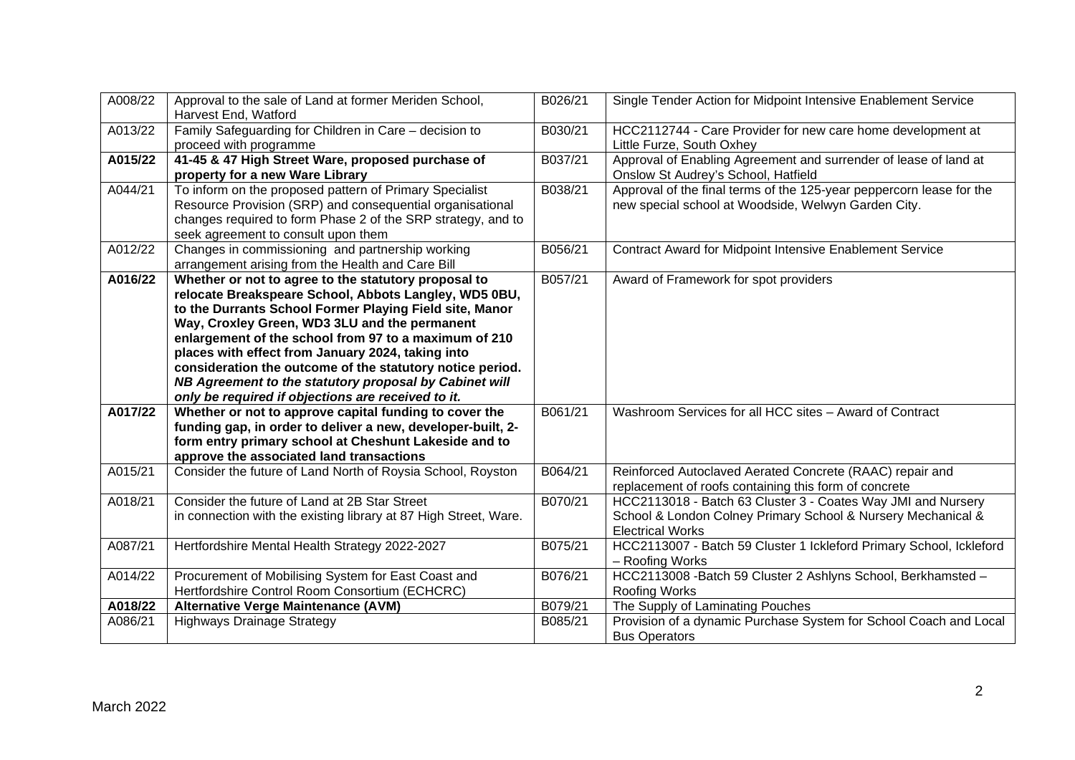| A008/22 | Approval to the sale of Land at former Meriden School,<br>Harvest End, Watford                                                                                                                                                                                                                                                                                                                                                                                                                                       | B026/21 | Single Tender Action for Midpoint Intensive Enablement Service                                                                                          |
|---------|----------------------------------------------------------------------------------------------------------------------------------------------------------------------------------------------------------------------------------------------------------------------------------------------------------------------------------------------------------------------------------------------------------------------------------------------------------------------------------------------------------------------|---------|---------------------------------------------------------------------------------------------------------------------------------------------------------|
| A013/22 | Family Safeguarding for Children in Care - decision to<br>proceed with programme                                                                                                                                                                                                                                                                                                                                                                                                                                     | B030/21 | HCC2112744 - Care Provider for new care home development at<br>Little Furze, South Oxhey                                                                |
| A015/22 | 41-45 & 47 High Street Ware, proposed purchase of<br>property for a new Ware Library                                                                                                                                                                                                                                                                                                                                                                                                                                 | B037/21 | Approval of Enabling Agreement and surrender of lease of land at<br>Onslow St Audrey's School, Hatfield                                                 |
| A044/21 | To inform on the proposed pattern of Primary Specialist<br>Resource Provision (SRP) and consequential organisational<br>changes required to form Phase 2 of the SRP strategy, and to<br>seek agreement to consult upon them                                                                                                                                                                                                                                                                                          | B038/21 | Approval of the final terms of the 125-year peppercorn lease for the<br>new special school at Woodside, Welwyn Garden City.                             |
| A012/22 | Changes in commissioning and partnership working<br>arrangement arising from the Health and Care Bill                                                                                                                                                                                                                                                                                                                                                                                                                | B056/21 | Contract Award for Midpoint Intensive Enablement Service                                                                                                |
| A016/22 | Whether or not to agree to the statutory proposal to<br>relocate Breakspeare School, Abbots Langley, WD5 0BU,<br>to the Durrants School Former Playing Field site, Manor<br>Way, Croxley Green, WD3 3LU and the permanent<br>enlargement of the school from 97 to a maximum of 210<br>places with effect from January 2024, taking into<br>consideration the outcome of the statutory notice period.<br>NB Agreement to the statutory proposal by Cabinet will<br>only be required if objections are received to it. | B057/21 | Award of Framework for spot providers                                                                                                                   |
| A017/22 | Whether or not to approve capital funding to cover the<br>funding gap, in order to deliver a new, developer-built, 2-<br>form entry primary school at Cheshunt Lakeside and to<br>approve the associated land transactions                                                                                                                                                                                                                                                                                           | B061/21 | Washroom Services for all HCC sites - Award of Contract                                                                                                 |
| A015/21 | Consider the future of Land North of Roysia School, Royston                                                                                                                                                                                                                                                                                                                                                                                                                                                          | B064/21 | Reinforced Autoclaved Aerated Concrete (RAAC) repair and<br>replacement of roofs containing this form of concrete                                       |
| A018/21 | Consider the future of Land at 2B Star Street<br>in connection with the existing library at 87 High Street, Ware.                                                                                                                                                                                                                                                                                                                                                                                                    | B070/21 | HCC2113018 - Batch 63 Cluster 3 - Coates Way JMI and Nursery<br>School & London Colney Primary School & Nursery Mechanical &<br><b>Electrical Works</b> |
| A087/21 | Hertfordshire Mental Health Strategy 2022-2027                                                                                                                                                                                                                                                                                                                                                                                                                                                                       | B075/21 | HCC2113007 - Batch 59 Cluster 1 Ickleford Primary School, Ickleford<br>- Roofing Works                                                                  |
| A014/22 | Procurement of Mobilising System for East Coast and<br>Hertfordshire Control Room Consortium (ECHCRC)                                                                                                                                                                                                                                                                                                                                                                                                                | B076/21 | HCC2113008 - Batch 59 Cluster 2 Ashlyns School, Berkhamsted -<br>Roofing Works                                                                          |
| A018/22 | <b>Alternative Verge Maintenance (AVM)</b>                                                                                                                                                                                                                                                                                                                                                                                                                                                                           | B079/21 | The Supply of Laminating Pouches                                                                                                                        |
| A086/21 | <b>Highways Drainage Strategy</b>                                                                                                                                                                                                                                                                                                                                                                                                                                                                                    | B085/21 | Provision of a dynamic Purchase System for School Coach and Local<br><b>Bus Operators</b>                                                               |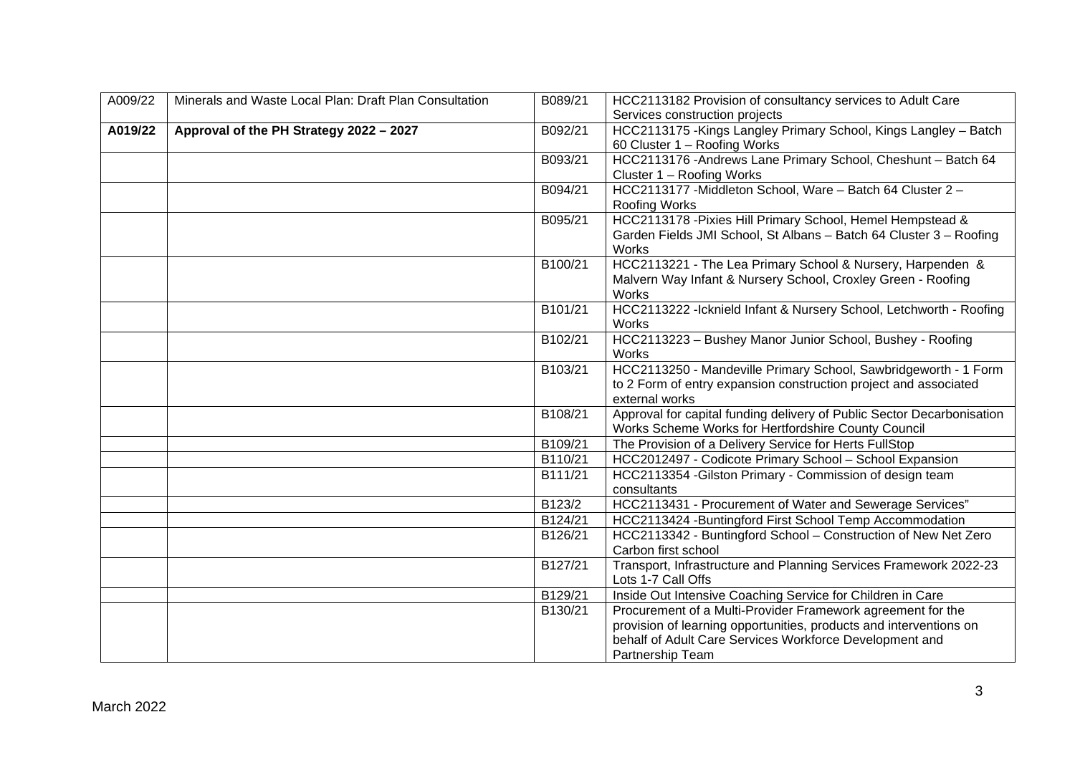| A009/22 | Minerals and Waste Local Plan: Draft Plan Consultation | B089/21              | HCC2113182 Provision of consultancy services to Adult Care                                                                                                                                   |
|---------|--------------------------------------------------------|----------------------|----------------------------------------------------------------------------------------------------------------------------------------------------------------------------------------------|
|         |                                                        |                      | Services construction projects                                                                                                                                                               |
| A019/22 | Approval of the PH Strategy 2022 - 2027                | B092/21              | HCC2113175 - Kings Langley Primary School, Kings Langley - Batch<br>60 Cluster 1 - Roofing Works                                                                                             |
|         |                                                        | B093/21              | HCC2113176 - Andrews Lane Primary School, Cheshunt - Batch 64                                                                                                                                |
|         |                                                        |                      | Cluster 1 - Roofing Works                                                                                                                                                                    |
|         |                                                        | B094/21              | HCC2113177 - Middleton School, Ware - Batch 64 Cluster 2 -                                                                                                                                   |
|         |                                                        |                      | Roofing Works                                                                                                                                                                                |
|         |                                                        | B095/21              | HCC2113178 - Pixies Hill Primary School, Hemel Hempstead &<br>Garden Fields JMI School, St Albans - Batch 64 Cluster 3 - Roofing<br>Works                                                    |
|         |                                                        | B100/21              | HCC2113221 - The Lea Primary School & Nursery, Harpenden &<br>Malvern Way Infant & Nursery School, Croxley Green - Roofing<br>Works                                                          |
|         |                                                        | B101/21              | HCC2113222 - Icknield Infant & Nursery School, Letchworth - Roofing<br>Works                                                                                                                 |
|         |                                                        | B102/21              | HCC2113223 - Bushey Manor Junior School, Bushey - Roofing<br><b>Works</b>                                                                                                                    |
|         |                                                        | B103/21              | HCC2113250 - Mandeville Primary School, Sawbridgeworth - 1 Form<br>to 2 Form of entry expansion construction project and associated<br>external works                                        |
|         |                                                        | B108/21              | Approval for capital funding delivery of Public Sector Decarbonisation<br>Works Scheme Works for Hertfordshire County Council                                                                |
|         |                                                        | B109/21              | The Provision of a Delivery Service for Herts FullStop                                                                                                                                       |
|         |                                                        | B110/21              | HCC2012497 - Codicote Primary School - School Expansion                                                                                                                                      |
|         |                                                        | B111/21              | HCC2113354 - Gilston Primary - Commission of design team<br>consultants                                                                                                                      |
|         |                                                        | B123/2               | HCC2113431 - Procurement of Water and Sewerage Services"                                                                                                                                     |
|         |                                                        | B <sub>124</sub> /21 | HCC2113424 - Buntingford First School Temp Accommodation                                                                                                                                     |
|         |                                                        | B126/21              | HCC2113342 - Buntingford School - Construction of New Net Zero<br>Carbon first school                                                                                                        |
|         |                                                        | B127/21              | Transport, Infrastructure and Planning Services Framework 2022-23<br>Lots 1-7 Call Offs                                                                                                      |
|         |                                                        | B129/21              | Inside Out Intensive Coaching Service for Children in Care                                                                                                                                   |
|         |                                                        | B130/21              | Procurement of a Multi-Provider Framework agreement for the<br>provision of learning opportunities, products and interventions on<br>behalf of Adult Care Services Workforce Development and |
|         |                                                        |                      | Partnership Team                                                                                                                                                                             |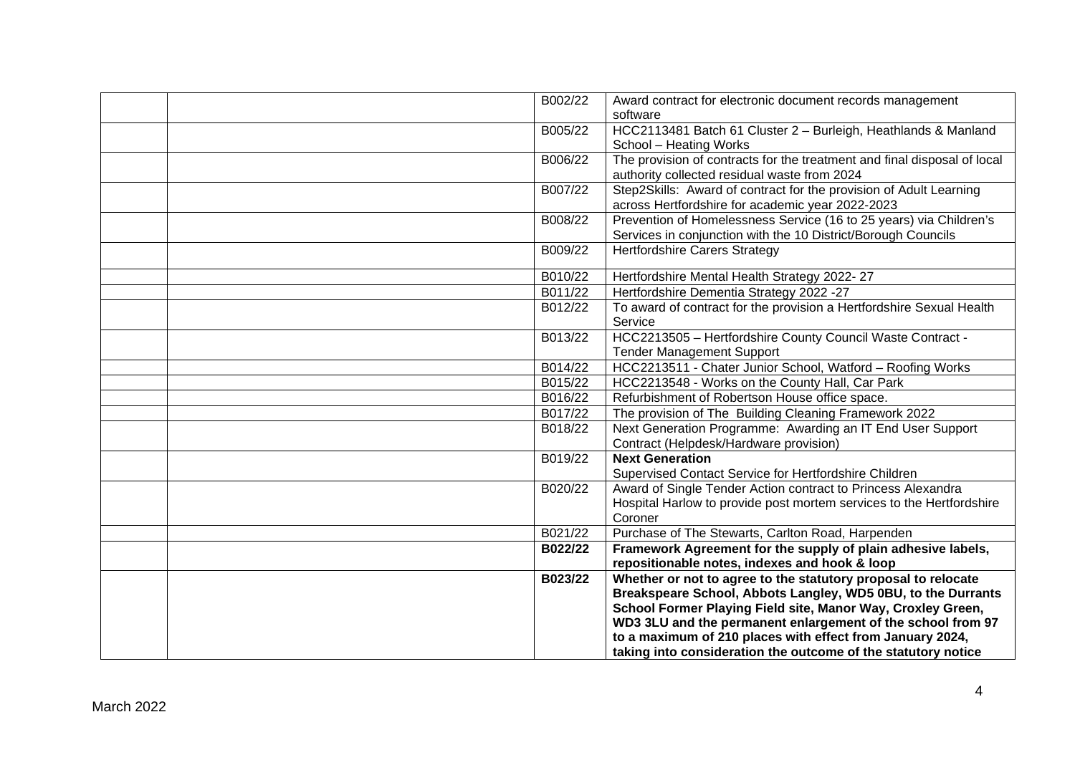| B002/22 | Award contract for electronic document records management                |
|---------|--------------------------------------------------------------------------|
|         | software                                                                 |
| B005/22 | HCC2113481 Batch 61 Cluster 2 - Burleigh, Heathlands & Manland           |
|         | School - Heating Works                                                   |
| B006/22 | The provision of contracts for the treatment and final disposal of local |
|         | authority collected residual waste from 2024                             |
| B007/22 | Step2Skills: Award of contract for the provision of Adult Learning       |
|         | across Hertfordshire for academic year 2022-2023                         |
| B008/22 | Prevention of Homelessness Service (16 to 25 years) via Children's       |
|         | Services in conjunction with the 10 District/Borough Councils            |
| B009/22 | <b>Hertfordshire Carers Strategy</b>                                     |
| B010/22 | Hertfordshire Mental Health Strategy 2022-27                             |
| B011/22 | Hertfordshire Dementia Strategy 2022 -27                                 |
| B012/22 | To award of contract for the provision a Hertfordshire Sexual Health     |
|         | Service                                                                  |
| B013/22 | HCC2213505 - Hertfordshire County Council Waste Contract -               |
|         | <b>Tender Management Support</b>                                         |
| B014/22 | HCC2213511 - Chater Junior School, Watford - Roofing Works               |
| B015/22 | HCC2213548 - Works on the County Hall, Car Park                          |
| B016/22 | Refurbishment of Robertson House office space.                           |
| B017/22 | The provision of The Building Cleaning Framework 2022                    |
| B018/22 | Next Generation Programme: Awarding an IT End User Support               |
|         | Contract (Helpdesk/Hardware provision)                                   |
| B019/22 | <b>Next Generation</b>                                                   |
|         | Supervised Contact Service for Hertfordshire Children                    |
| B020/22 | Award of Single Tender Action contract to Princess Alexandra             |
|         | Hospital Harlow to provide post mortem services to the Hertfordshire     |
|         | Coroner                                                                  |
| B021/22 | Purchase of The Stewarts, Carlton Road, Harpenden                        |
| B022/22 | Framework Agreement for the supply of plain adhesive labels,             |
|         | repositionable notes, indexes and hook & loop                            |
| B023/22 | Whether or not to agree to the statutory proposal to relocate            |
|         | Breakspeare School, Abbots Langley, WD5 0BU, to the Durrants             |
|         | School Former Playing Field site, Manor Way, Croxley Green,              |
|         | WD3 3LU and the permanent enlargement of the school from 97              |
|         | to a maximum of 210 places with effect from January 2024,                |
|         | taking into consideration the outcome of the statutory notice            |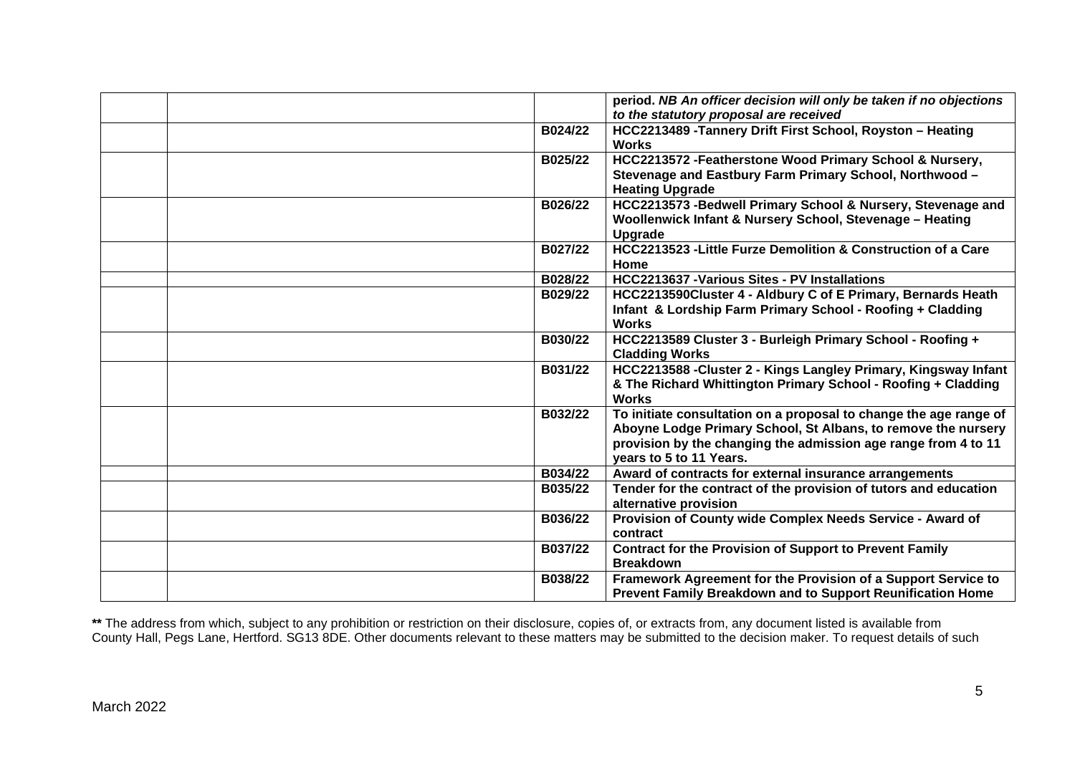|         | period. NB An officer decision will only be taken if no objections                                                                                                                                                              |
|---------|---------------------------------------------------------------------------------------------------------------------------------------------------------------------------------------------------------------------------------|
|         | to the statutory proposal are received                                                                                                                                                                                          |
| B024/22 | HCC2213489 - Tannery Drift First School, Royston - Heating<br><b>Works</b>                                                                                                                                                      |
| B025/22 | HCC2213572 - Featherstone Wood Primary School & Nursery,<br>Stevenage and Eastbury Farm Primary School, Northwood -<br><b>Heating Upgrade</b>                                                                                   |
| B026/22 | HCC2213573 -Bedwell Primary School & Nursery, Stevenage and<br>Woollenwick Infant & Nursery School, Stevenage - Heating<br>Upgrade                                                                                              |
| B027/22 | HCC2213523 - Little Furze Demolition & Construction of a Care<br>Home                                                                                                                                                           |
| B028/22 | <b>HCC2213637 - Various Sites - PV Installations</b>                                                                                                                                                                            |
| B029/22 | HCC2213590Cluster 4 - Aldbury C of E Primary, Bernards Heath<br>Infant & Lordship Farm Primary School - Roofing + Cladding<br><b>Works</b>                                                                                      |
| B030/22 | HCC2213589 Cluster 3 - Burleigh Primary School - Roofing +<br><b>Cladding Works</b>                                                                                                                                             |
| B031/22 | HCC2213588 - Cluster 2 - Kings Langley Primary, Kingsway Infant<br>& The Richard Whittington Primary School - Roofing + Cladding<br><b>Works</b>                                                                                |
| B032/22 | To initiate consultation on a proposal to change the age range of<br>Aboyne Lodge Primary School, St Albans, to remove the nursery<br>provision by the changing the admission age range from 4 to 11<br>years to 5 to 11 Years. |
| B034/22 | Award of contracts for external insurance arrangements                                                                                                                                                                          |
| B035/22 | Tender for the contract of the provision of tutors and education<br>alternative provision                                                                                                                                       |
| B036/22 | Provision of County wide Complex Needs Service - Award of<br>contract                                                                                                                                                           |
| B037/22 | <b>Contract for the Provision of Support to Prevent Family</b><br><b>Breakdown</b>                                                                                                                                              |
| B038/22 | Framework Agreement for the Provision of a Support Service to<br>Prevent Family Breakdown and to Support Reunification Home                                                                                                     |

**\*\*** The address from which, subject to any prohibition or restriction on their disclosure, copies of, or extracts from, any document listed is available from County Hall, Pegs Lane, Hertford. SG13 8DE. Other documents relevant to these matters may be submitted to the decision maker. To request details of such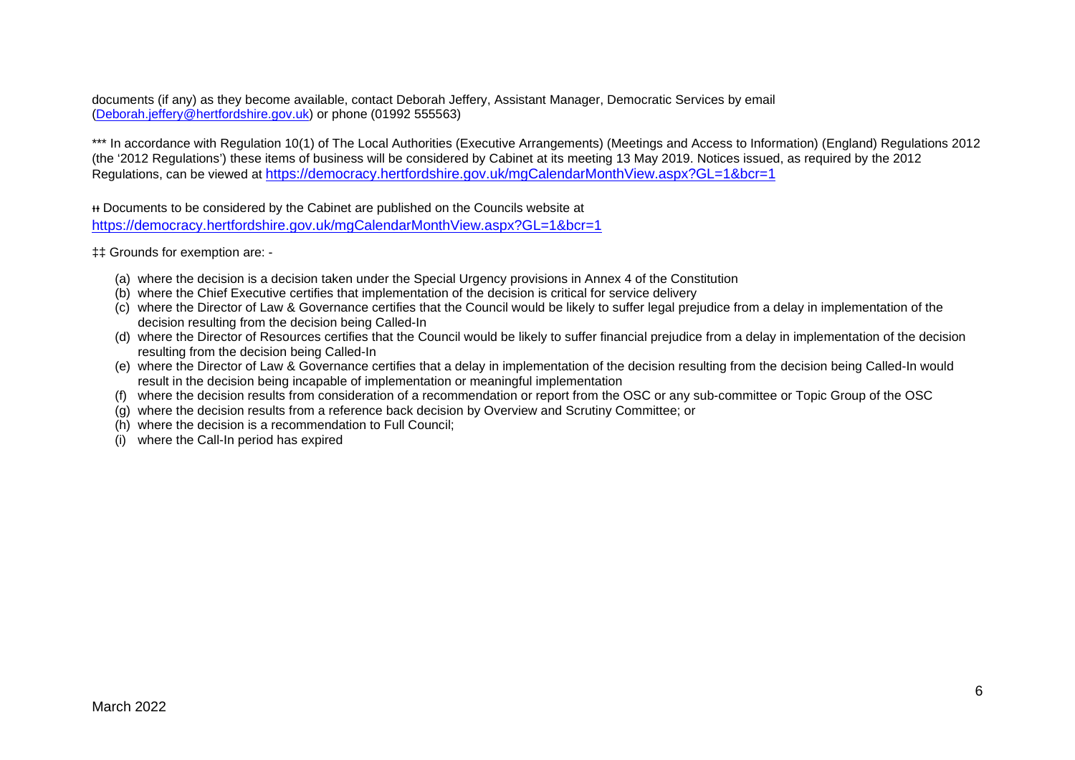documents (if any) as they become available, contact Deborah Jeffery, Assistant Manager, Democratic Services by email [\(Deborah.jeffery@hertfordshire.gov.uk\)](mailto:Deborah.jeffery@hertfordshire.gov.uk) or phone (01992 555563)

\*\*\* In accordance with Regulation 10(1) of The Local Authorities (Executive Arrangements) (Meetings and Access to Information) (England) Regulations 2012 (the '2012 Regulations') these items of business will be considered by Cabinet at its meeting 13 May 2019. Notices issued, as required by the 2012 Regulations, can be viewed at <https://democracy.hertfordshire.gov.uk/mgCalendarMonthView.aspx?GL=1&bcr=1>

ᵻᵻ Documents to be considered by the Cabinet are published on the Councils website at <https://democracy.hertfordshire.gov.uk/mgCalendarMonthView.aspx?GL=1&bcr=1>

‡‡ Grounds for exemption are: -

- (a) where the decision is a decision taken under the Special Urgency provisions in Annex 4 of the Constitution
- (b) where the Chief Executive certifies that implementation of the decision is critical for service delivery
- (c) where the Director of Law & Governance certifies that the Council would be likely to suffer legal prejudice from a delay in implementation of the decision resulting from the decision being Called-In
- (d) where the Director of Resources certifies that the Council would be likely to suffer financial prejudice from a delay in implementation of the decision resulting from the decision being Called-In
- (e) where the Director of Law & Governance certifies that a delay in implementation of the decision resulting from the decision being Called-In would result in the decision being incapable of implementation or meaningful implementation
- (f) where the decision results from consideration of a recommendation or report from the OSC or any sub-committee or Topic Group of the OSC
- (g) where the decision results from a reference back decision by Overview and Scrutiny Committee; or
- (h) where the decision is a recommendation to Full Council;
- (i) where the Call-In period has expired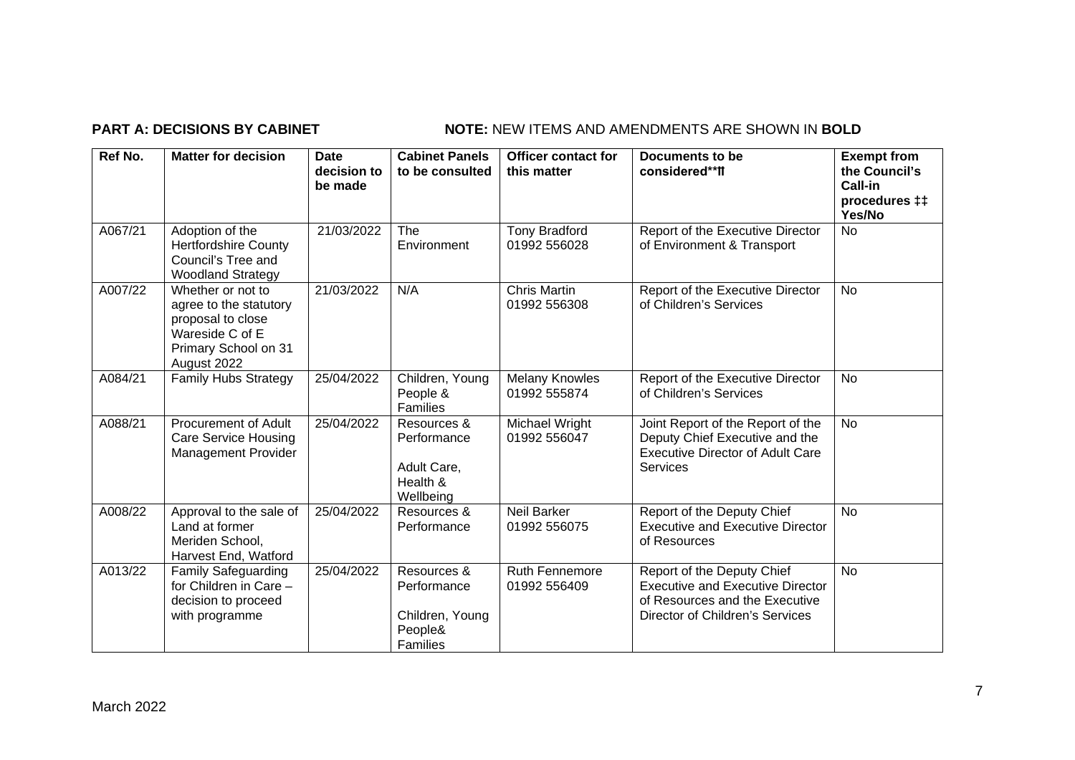## **PART A: DECISIONS BY CABINET NOTE:** NEW ITEMS AND AMENDMENTS ARE SHOWN IN BOLD

| Ref No. | <b>Matter for decision</b>                                                                                                 | <b>Date</b><br>decision to<br>be made | <b>Cabinet Panels</b><br>to be consulted                             | <b>Officer contact for</b><br>this matter | <b>Documents to be</b><br>considered**ff                                                                                                   | <b>Exempt from</b><br>the Council's<br>Call-in<br>procedures <sub>#</sub><br>Yes/No |
|---------|----------------------------------------------------------------------------------------------------------------------------|---------------------------------------|----------------------------------------------------------------------|-------------------------------------------|--------------------------------------------------------------------------------------------------------------------------------------------|-------------------------------------------------------------------------------------|
| A067/21 | Adoption of the<br><b>Hertfordshire County</b><br>Council's Tree and<br><b>Woodland Strategy</b>                           | 21/03/2022                            | The<br>Environment                                                   | <b>Tony Bradford</b><br>01992 556028      | Report of the Executive Director<br>of Environment & Transport                                                                             | No                                                                                  |
| A007/22 | Whether or not to<br>agree to the statutory<br>proposal to close<br>Wareside C of E<br>Primary School on 31<br>August 2022 | 21/03/2022                            | N/A                                                                  | <b>Chris Martin</b><br>01992 556308       | Report of the Executive Director<br>of Children's Services                                                                                 | <b>No</b>                                                                           |
| A084/21 | <b>Family Hubs Strategy</b>                                                                                                | 25/04/2022                            | Children, Young<br>People &<br>Families                              | <b>Melany Knowles</b><br>01992 555874     | Report of the Executive Director<br>of Children's Services                                                                                 | No                                                                                  |
| A088/21 | Procurement of Adult<br><b>Care Service Housing</b><br><b>Management Provider</b>                                          | 25/04/2022                            | Resources &<br>Performance<br>Adult Care,<br>Health &<br>Wellbeing   | Michael Wright<br>01992 556047            | Joint Report of the Report of the<br>Deputy Chief Executive and the<br><b>Executive Director of Adult Care</b><br><b>Services</b>          | <b>No</b>                                                                           |
| A008/22 | Approval to the sale of<br>Land at former<br>Meriden School,<br>Harvest End, Watford                                       | 25/04/2022                            | Resources &<br>Performance                                           | <b>Neil Barker</b><br>01992 556075        | Report of the Deputy Chief<br><b>Executive and Executive Director</b><br>of Resources                                                      | <b>No</b>                                                                           |
| A013/22 | <b>Family Safeguarding</b><br>for Children in Care -<br>decision to proceed<br>with programme                              | 25/04/2022                            | Resources &<br>Performance<br>Children, Young<br>People&<br>Families | <b>Ruth Fennemore</b><br>01992 556409     | Report of the Deputy Chief<br><b>Executive and Executive Director</b><br>of Resources and the Executive<br>Director of Children's Services | <b>No</b>                                                                           |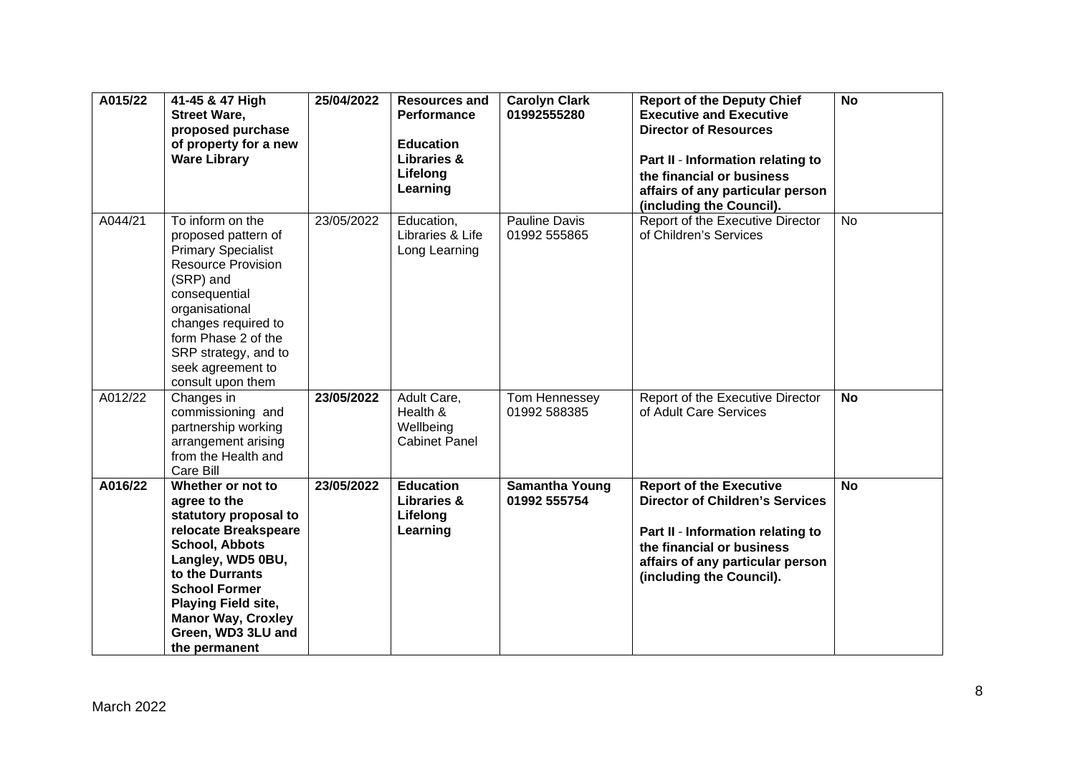| A015/22 | 41-45 & 47 High<br><b>Street Ware,</b><br>proposed purchase<br>of property for a new<br><b>Ware Library</b>                                                                                                                                                            | 25/04/2022 | <b>Resources and</b><br>Performance<br><b>Education</b><br>Libraries &<br>Lifelong<br>Learning | <b>Carolyn Clark</b><br>01992555280   | <b>Report of the Deputy Chief</b><br><b>Executive and Executive</b><br><b>Director of Resources</b><br>Part II - Information relating to<br>the financial or business<br>affairs of any particular person<br>(including the Council). | <b>No</b> |
|---------|------------------------------------------------------------------------------------------------------------------------------------------------------------------------------------------------------------------------------------------------------------------------|------------|------------------------------------------------------------------------------------------------|---------------------------------------|---------------------------------------------------------------------------------------------------------------------------------------------------------------------------------------------------------------------------------------|-----------|
| A044/21 | To inform on the<br>proposed pattern of<br><b>Primary Specialist</b><br><b>Resource Provision</b><br>(SRP) and<br>consequential<br>organisational<br>changes required to<br>form Phase 2 of the<br>SRP strategy, and to<br>seek agreement to<br>consult upon them      | 23/05/2022 | Education,<br>Libraries & Life<br>Long Learning                                                | Pauline Davis<br>01992 555865         | Report of the Executive Director<br>of Children's Services                                                                                                                                                                            | <b>No</b> |
| A012/22 | Changes in<br>commissioning and<br>partnership working<br>arrangement arising<br>from the Health and<br>Care Bill                                                                                                                                                      | 23/05/2022 | Adult Care,<br>Health &<br>Wellbeing<br><b>Cabinet Panel</b>                                   | Tom Hennessey<br>01992 588385         | Report of the Executive Director<br>of Adult Care Services                                                                                                                                                                            | <b>No</b> |
| A016/22 | Whether or not to<br>agree to the<br>statutory proposal to<br>relocate Breakspeare<br>School, Abbots<br>Langley, WD5 0BU,<br>to the Durrants<br><b>School Former</b><br><b>Playing Field site,</b><br><b>Manor Way, Croxley</b><br>Green, WD3 3LU and<br>the permanent | 23/05/2022 | <b>Education</b><br><b>Libraries &amp;</b><br>Lifelong<br>Learning                             | <b>Samantha Young</b><br>01992 555754 | <b>Report of the Executive</b><br><b>Director of Children's Services</b><br>Part II - Information relating to<br>the financial or business<br>affairs of any particular person<br>(including the Council).                            | <b>No</b> |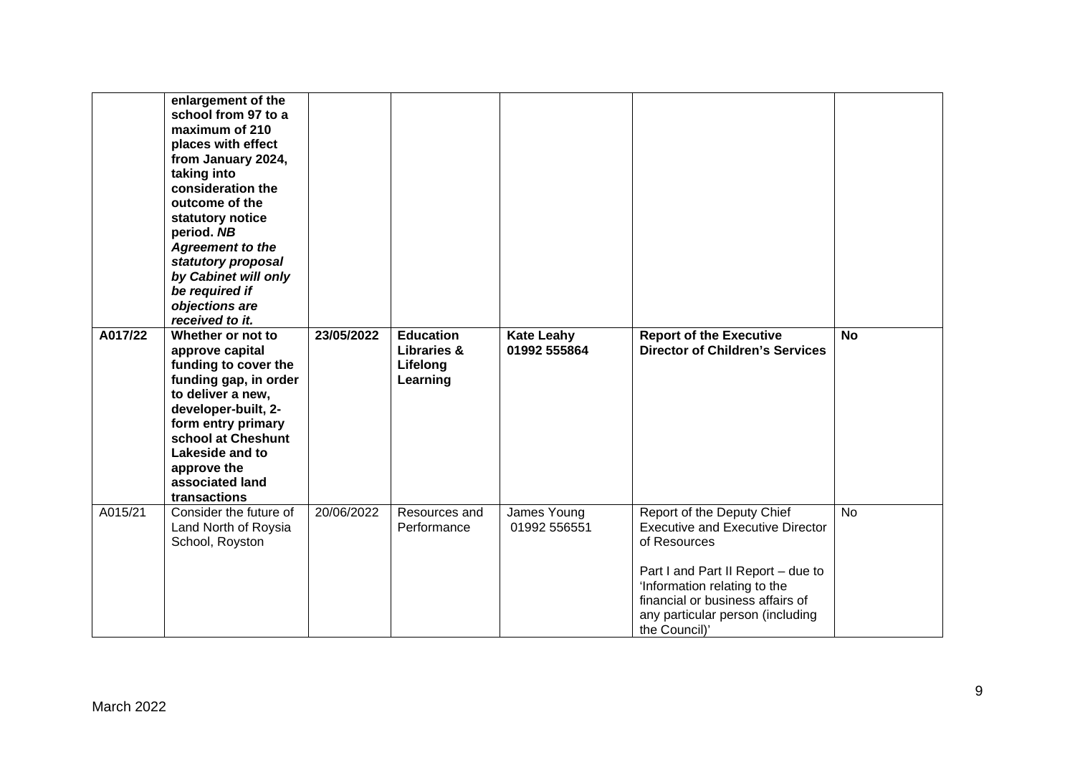| A017/22 | enlargement of the<br>school from 97 to a<br>maximum of 210<br>places with effect<br>from January 2024,<br>taking into<br>consideration the<br>outcome of the<br>statutory notice<br>period. NB<br><b>Agreement to the</b><br>statutory proposal<br>by Cabinet will only<br>be required if<br>objections are<br>received to it.<br>Whether or not to<br>approve capital<br>funding to cover the<br>funding gap, in order<br>to deliver a new,<br>developer-built, 2-<br>form entry primary<br>school at Cheshunt | 23/05/2022 | <b>Education</b><br><b>Libraries &amp;</b><br>Lifelong<br>Learning | <b>Kate Leahy</b><br>01992 555864 | <b>Report of the Executive</b><br><b>Director of Children's Services</b>                                                                                    | <b>No</b> |
|---------|------------------------------------------------------------------------------------------------------------------------------------------------------------------------------------------------------------------------------------------------------------------------------------------------------------------------------------------------------------------------------------------------------------------------------------------------------------------------------------------------------------------|------------|--------------------------------------------------------------------|-----------------------------------|-------------------------------------------------------------------------------------------------------------------------------------------------------------|-----------|
|         | Lakeside and to<br>approve the<br>associated land<br>transactions                                                                                                                                                                                                                                                                                                                                                                                                                                                |            |                                                                    |                                   |                                                                                                                                                             |           |
| A015/21 | Consider the future of<br>Land North of Roysia<br>School, Royston                                                                                                                                                                                                                                                                                                                                                                                                                                                | 20/06/2022 | Resources and<br>Performance                                       | James Young<br>01992 556551       | Report of the Deputy Chief<br><b>Executive and Executive Director</b><br>of Resources                                                                       | <b>No</b> |
|         |                                                                                                                                                                                                                                                                                                                                                                                                                                                                                                                  |            |                                                                    |                                   | Part I and Part II Report - due to<br>'Information relating to the<br>financial or business affairs of<br>any particular person (including<br>the Council)' |           |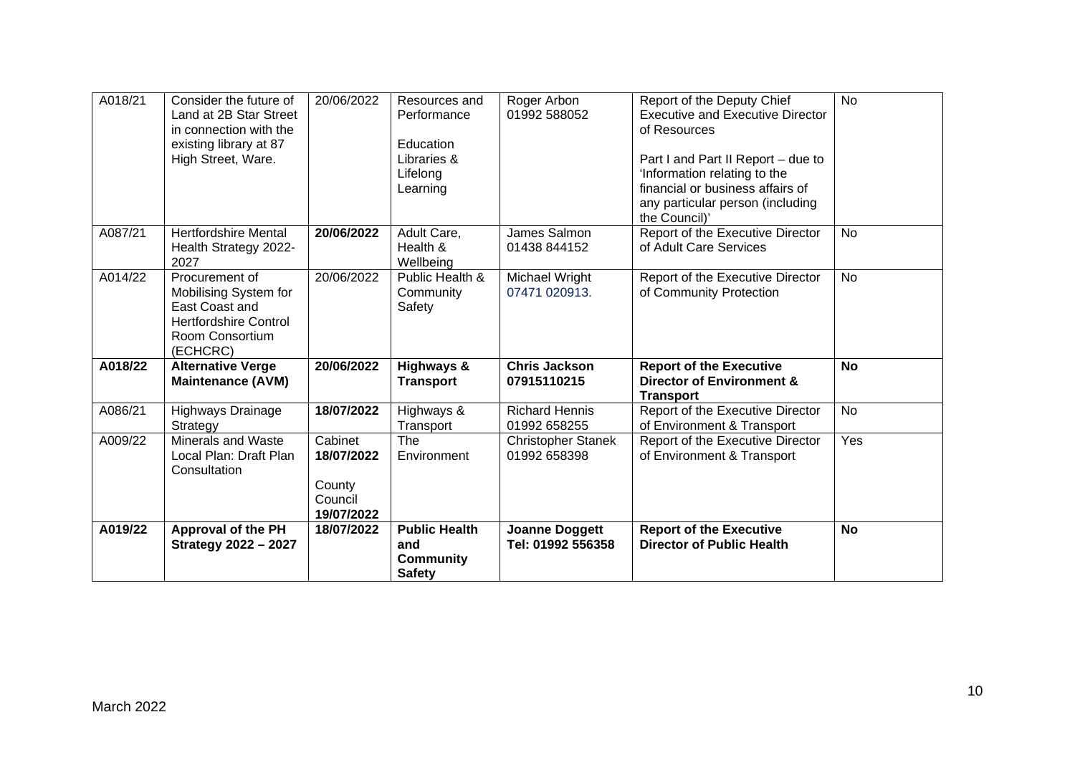| A018/21 | Consider the future of<br>Land at 2B Star Street<br>in connection with the<br>existing library at 87<br>High Street, Ware. | 20/06/2022                                               | Resources and<br>Performance<br>Education<br>Libraries &<br>Lifelong<br>Learning | Roger Arbon<br>01992 588052                | Report of the Deputy Chief<br><b>Executive and Executive Director</b><br>of Resources<br>Part I and Part II Report - due to<br>'Information relating to the<br>financial or business affairs of<br>any particular person (including<br>the Council)' | <b>No</b> |
|---------|----------------------------------------------------------------------------------------------------------------------------|----------------------------------------------------------|----------------------------------------------------------------------------------|--------------------------------------------|------------------------------------------------------------------------------------------------------------------------------------------------------------------------------------------------------------------------------------------------------|-----------|
| A087/21 | <b>Hertfordshire Mental</b><br>Health Strategy 2022-<br>2027                                                               | 20/06/2022                                               | Adult Care,<br>Health &<br>Wellbeing                                             | James Salmon<br>01438 844152               | Report of the Executive Director<br>of Adult Care Services                                                                                                                                                                                           | <b>No</b> |
| A014/22 | Procurement of<br>Mobilising System for<br>East Coast and<br><b>Hertfordshire Control</b><br>Room Consortium<br>(ECHCRC)   | 20/06/2022                                               | Public Health &<br>Community<br>Safety                                           | Michael Wright<br>07471 020913.            | Report of the Executive Director<br>of Community Protection                                                                                                                                                                                          | <b>No</b> |
| A018/22 | <b>Alternative Verge</b><br><b>Maintenance (AVM)</b>                                                                       | 20/06/2022                                               | <b>Highways &amp;</b><br><b>Transport</b>                                        | <b>Chris Jackson</b><br>07915110215        | <b>Report of the Executive</b><br>Director of Environment &<br><b>Transport</b>                                                                                                                                                                      | <b>No</b> |
| A086/21 | Highways Drainage<br>Strategy                                                                                              | 18/07/2022                                               | Highways &<br>Transport                                                          | <b>Richard Hennis</b><br>01992 658255      | Report of the Executive Director<br>of Environment & Transport                                                                                                                                                                                       | <b>No</b> |
| A009/22 | <b>Minerals and Waste</b><br>Local Plan: Draft Plan<br>Consultation                                                        | Cabinet<br>18/07/2022<br>County<br>Council<br>19/07/2022 | The<br>Environment                                                               | <b>Christopher Stanek</b><br>01992 658398  | Report of the Executive Director<br>of Environment & Transport                                                                                                                                                                                       | Yes       |
| A019/22 | <b>Approval of the PH</b><br><b>Strategy 2022 - 2027</b>                                                                   | 18/07/2022                                               | <b>Public Health</b><br>and<br><b>Community</b><br><b>Safety</b>                 | <b>Joanne Doggett</b><br>Tel: 01992 556358 | <b>Report of the Executive</b><br><b>Director of Public Health</b>                                                                                                                                                                                   | <b>No</b> |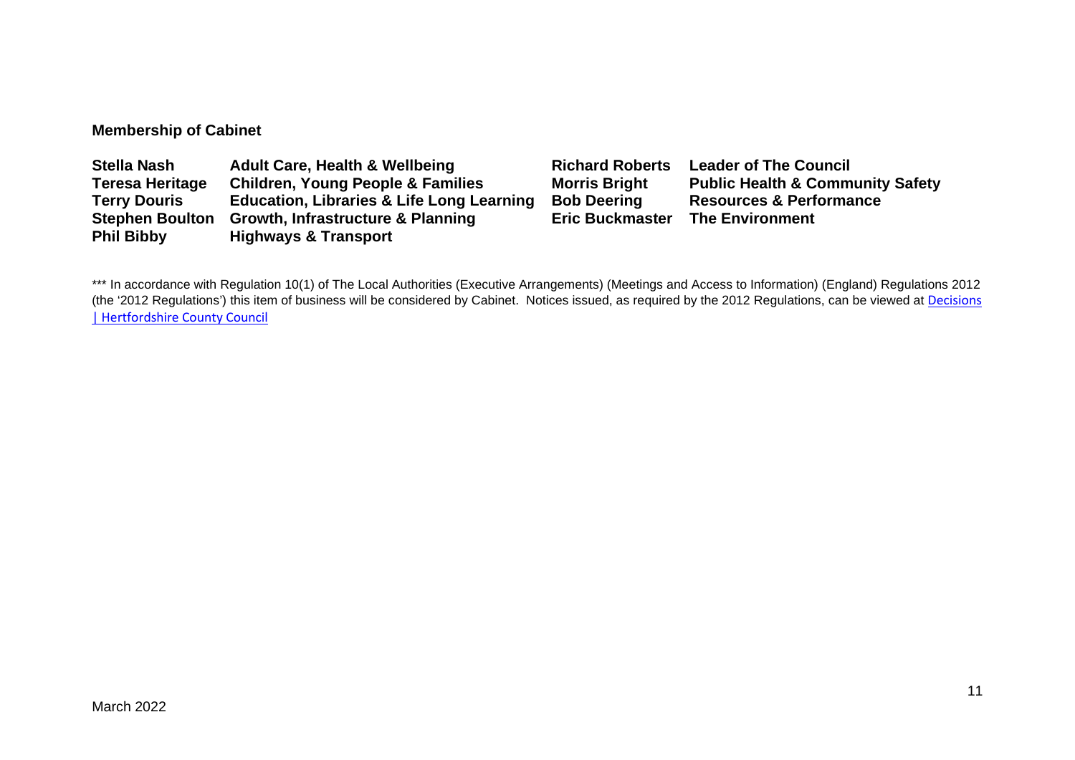## **Membership of Cabinet**

| <b>Stella Nash</b>     | <b>Adult Care, Health &amp; Wellbeing</b>            | <b>Richard Roberts</b> | <b>Leader of The Council</b>                |
|------------------------|------------------------------------------------------|------------------------|---------------------------------------------|
| <b>Teresa Heritage</b> | <b>Children, Young People &amp; Families</b>         | <b>Morris Bright</b>   | <b>Public Health &amp; Community Safety</b> |
| <b>Terry Douris</b>    | <b>Education, Libraries &amp; Life Long Learning</b> | <b>Bob Deering</b>     | <b>Resources &amp; Performance</b>          |
| <b>Stephen Boulton</b> | <b>Growth, Infrastructure &amp; Planning</b>         | <b>Eric Buckmaster</b> | <b>The Environment</b>                      |
| <b>Phil Bibby</b>      | <b>Highways &amp; Transport</b>                      |                        |                                             |

\*\*\* In accordance with Regulation 10(1) of The Local Authorities (Executive Arrangements) (Meetings and Access to Information) (England) Regulations 2012 (the '2012 Regulations') this item of business will be considered by Cabinet. Notices issued, as required by the 2012 Regulations, can be viewed at Decisions [| Hertfordshire County Council](https://www.hertfordshire.gov.uk/About-the-council/freedom-of-information-and-council-data/Open-Data-Statistics-about-Hertfordshire/How-we-make-decisions/Decisions/Decisions.aspx#keydecisions)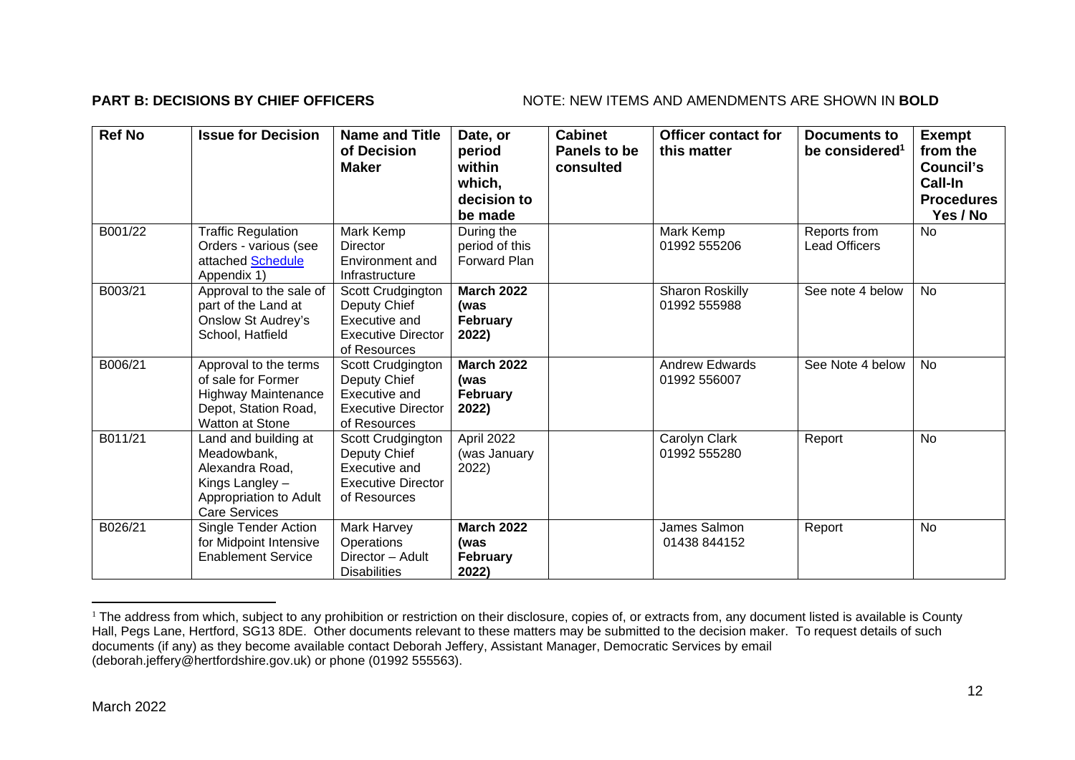## **PART B: DECISIONS BY CHIEF OFFICERS** NOTE: NEW ITEMS AND AMENDMENTS ARE SHOWN IN BOLD

| <b>Ref No</b> | <b>Issue for Decision</b>                                                                                                   | <b>Name and Title</b><br>of Decision<br><b>Maker</b>                                            | Date, or<br>period<br>within<br>which,<br>decision to<br>be made | <b>Cabinet</b><br>Panels to be<br>consulted | <b>Officer contact for</b><br>this matter | <b>Documents to</b><br>be considered <sup>1</sup> | <b>Exempt</b><br>from the<br>Council's<br>Call-In<br><b>Procedures</b><br>Yes / No |
|---------------|-----------------------------------------------------------------------------------------------------------------------------|-------------------------------------------------------------------------------------------------|------------------------------------------------------------------|---------------------------------------------|-------------------------------------------|---------------------------------------------------|------------------------------------------------------------------------------------|
| B001/22       | <b>Traffic Regulation</b><br>Orders - various (see<br>attached Schedule<br>Appendix 1)                                      | Mark Kemp<br><b>Director</b><br>Environment and<br>Infrastructure                               | During the<br>period of this<br><b>Forward Plan</b>              |                                             | Mark Kemp<br>01992 555206                 | Reports from<br><b>Lead Officers</b>              | <b>No</b>                                                                          |
| B003/21       | Approval to the sale of<br>part of the Land at<br>Onslow St Audrey's<br>School, Hatfield                                    | Scott Crudgington<br>Deputy Chief<br>Executive and<br><b>Executive Director</b><br>of Resources | <b>March 2022</b><br>(was<br><b>February</b><br>2022)            |                                             | <b>Sharon Roskilly</b><br>01992 555988    | See note 4 below                                  | <b>No</b>                                                                          |
| B006/21       | Approval to the terms<br>of sale for Former<br><b>Highway Maintenance</b><br>Depot, Station Road,<br><b>Watton at Stone</b> | Scott Crudgington<br>Deputy Chief<br>Executive and<br><b>Executive Director</b><br>of Resources | <b>March 2022</b><br>(was<br><b>February</b><br>2022)            |                                             | <b>Andrew Edwards</b><br>01992 556007     | See Note 4 below                                  | No                                                                                 |
| B011/21       | Land and building at<br>Meadowbank,<br>Alexandra Road,<br>Kings Langley -<br>Appropriation to Adult<br><b>Care Services</b> | Scott Crudgington<br>Deputy Chief<br>Executive and<br><b>Executive Director</b><br>of Resources | April 2022<br>(was January<br>2022)                              |                                             | Carolyn Clark<br>01992 555280             | Report                                            | No                                                                                 |
| B026/21       | <b>Single Tender Action</b><br>for Midpoint Intensive<br><b>Enablement Service</b>                                          | Mark Harvey<br>Operations<br>Director - Adult<br><b>Disabilities</b>                            | <b>March 2022</b><br>(was<br><b>February</b><br>2022)            |                                             | James Salmon<br>01438 844152              | Report                                            | <b>No</b>                                                                          |

<sup>&</sup>lt;sup>1</sup> The address from which, subject to any prohibition or restriction on their disclosure, copies of, or extracts from, any document listed is available is County Hall, Pegs Lane, Hertford, SG13 8DE. Other documents relevant to these matters may be submitted to the decision maker. To request details of such documents (if any) as they become available contact Deborah Jeffery, Assistant Manager, Democratic Services by email (deborah.jeffery@hertfordshire.gov.uk) or phone (01992 555563).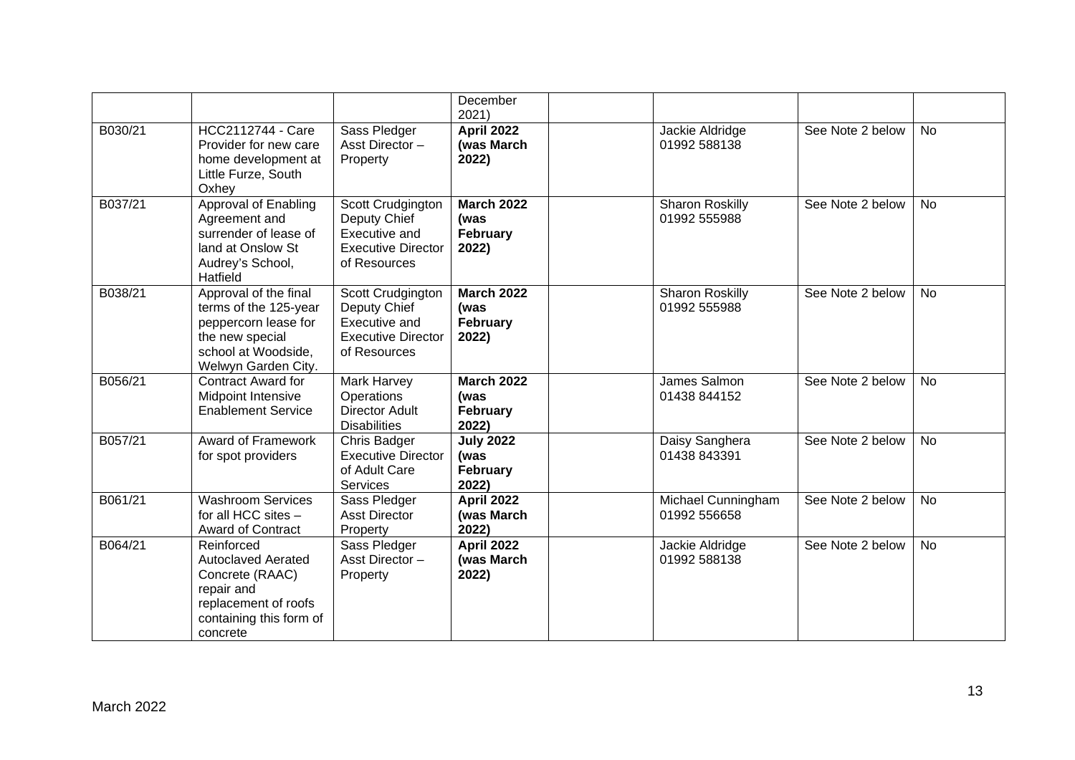|         |                                                                                                                                         |                                                                                                 | December<br>2021)                              |                                        |                  |           |
|---------|-----------------------------------------------------------------------------------------------------------------------------------------|-------------------------------------------------------------------------------------------------|------------------------------------------------|----------------------------------------|------------------|-----------|
| B030/21 | <b>HCC2112744 - Care</b><br>Provider for new care<br>home development at<br>Little Furze, South<br>Oxhey                                | Sass Pledger<br>Asst Director-<br>Property                                                      | <b>April 2022</b><br>(was March<br>2022)       | Jackie Aldridge<br>01992 588138        | See Note 2 below | <b>No</b> |
| B037/21 | <b>Approval of Enabling</b><br>Agreement and<br>surrender of lease of<br>land at Onslow St<br>Audrey's School,<br>Hatfield              | Scott Crudgington<br>Deputy Chief<br>Executive and<br><b>Executive Director</b><br>of Resources | <b>March 2022</b><br>(was<br>February<br>2022) | <b>Sharon Roskilly</b><br>01992 555988 | See Note 2 below | <b>No</b> |
| B038/21 | Approval of the final<br>terms of the 125-year<br>peppercorn lease for<br>the new special<br>school at Woodside,<br>Welwyn Garden City. | Scott Crudgington<br>Deputy Chief<br>Executive and<br><b>Executive Director</b><br>of Resources | <b>March 2022</b><br>(was<br>February<br>2022) | <b>Sharon Roskilly</b><br>01992 555988 | See Note 2 below | <b>No</b> |
| B056/21 | <b>Contract Award for</b><br>Midpoint Intensive<br><b>Enablement Service</b>                                                            | Mark Harvey<br><b>Operations</b><br><b>Director Adult</b><br><b>Disabilities</b>                | <b>March 2022</b><br>(was<br>February<br>2022) | James Salmon<br>01438 844152           | See Note 2 below | <b>No</b> |
| B057/21 | <b>Award of Framework</b><br>for spot providers                                                                                         | Chris Badger<br><b>Executive Director</b><br>of Adult Care<br>Services                          | <b>July 2022</b><br>(was<br>February<br>2022)  | Daisy Sanghera<br>01438 843391         | See Note 2 below | <b>No</b> |
| B061/21 | <b>Washroom Services</b><br>for all HCC sites -<br>Award of Contract                                                                    | Sass Pledger<br><b>Asst Director</b><br>Property                                                | <b>April 2022</b><br>(was March<br>2022)       | Michael Cunningham<br>01992 556658     | See Note 2 below | <b>No</b> |
| B064/21 | Reinforced<br><b>Autoclaved Aerated</b><br>Concrete (RAAC)<br>repair and<br>replacement of roofs<br>containing this form of<br>concrete | Sass Pledger<br>Asst Director-<br>Property                                                      | <b>April 2022</b><br>(was March<br>2022)       | Jackie Aldridge<br>01992 588138        | See Note 2 below | <b>No</b> |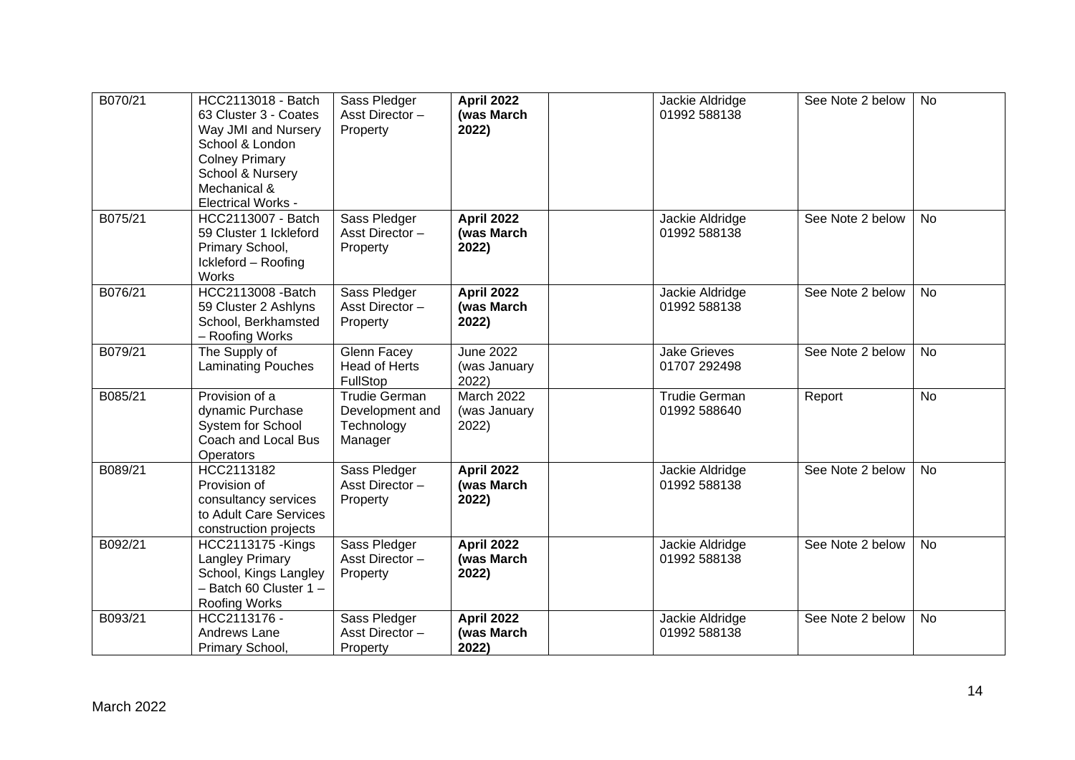| B070/21 | HCC2113018 - Batch<br>63 Cluster 3 - Coates<br>Way JMI and Nursery<br>School & London<br><b>Colney Primary</b><br>School & Nursery<br>Mechanical &<br><b>Electrical Works -</b> | Sass Pledger<br>Asst Director-<br>Property                       | <b>April 2022</b><br>(was March<br>2022)   | Jackie Aldridge<br>01992 588138      | See Note 2 below | No        |
|---------|---------------------------------------------------------------------------------------------------------------------------------------------------------------------------------|------------------------------------------------------------------|--------------------------------------------|--------------------------------------|------------------|-----------|
| B075/21 | HCC2113007 - Batch<br>59 Cluster 1 Ickleford<br>Primary School,<br>Ickleford - Roofing<br>Works                                                                                 | Sass Pledger<br>Asst Director-<br>Property                       | <b>April 2022</b><br>(was March<br>2022)   | Jackie Aldridge<br>01992 588138      | See Note 2 below | <b>No</b> |
| B076/21 | <b>HCC2113008 -Batch</b><br>59 Cluster 2 Ashlyns<br>School, Berkhamsted<br>- Roofing Works                                                                                      | Sass Pledger<br>Asst Director-<br>Property                       | <b>April 2022</b><br>(was March<br>2022)   | Jackie Aldridge<br>01992 588138      | See Note 2 below | <b>No</b> |
| B079/21 | The Supply of<br><b>Laminating Pouches</b>                                                                                                                                      | Glenn Facey<br>Head of Herts<br>FullStop                         | <b>June 2022</b><br>(was January<br>2022)  | <b>Jake Grieves</b><br>01707 292498  | See Note 2 below | <b>No</b> |
| B085/21 | Provision of a<br>dynamic Purchase<br>System for School<br>Coach and Local Bus<br>Operators                                                                                     | <b>Trudie German</b><br>Development and<br>Technology<br>Manager | <b>March 2022</b><br>(was January<br>2022) | <b>Trudie German</b><br>01992 588640 | Report           | <b>No</b> |
| B089/21 | HCC2113182<br>Provision of<br>consultancy services<br>to Adult Care Services<br>construction projects                                                                           | Sass Pledger<br>Asst Director-<br>Property                       | <b>April 2022</b><br>(was March<br>2022)   | Jackie Aldridge<br>01992 588138      | See Note 2 below | No        |
| B092/21 | <b>HCC2113175 - Kings</b><br><b>Langley Primary</b><br>School, Kings Langley<br>$-$ Batch 60 Cluster 1 $-$<br><b>Roofing Works</b>                                              | Sass Pledger<br>Asst Director-<br>Property                       | <b>April 2022</b><br>(was March<br>2022)   | Jackie Aldridge<br>01992 588138      | See Note 2 below | No        |
| B093/21 | HCC2113176 -<br>Andrews Lane<br>Primary School,                                                                                                                                 | Sass Pledger<br>Asst Director-<br>Property                       | <b>April 2022</b><br>(was March<br>2022)   | Jackie Aldridge<br>01992 588138      | See Note 2 below | <b>No</b> |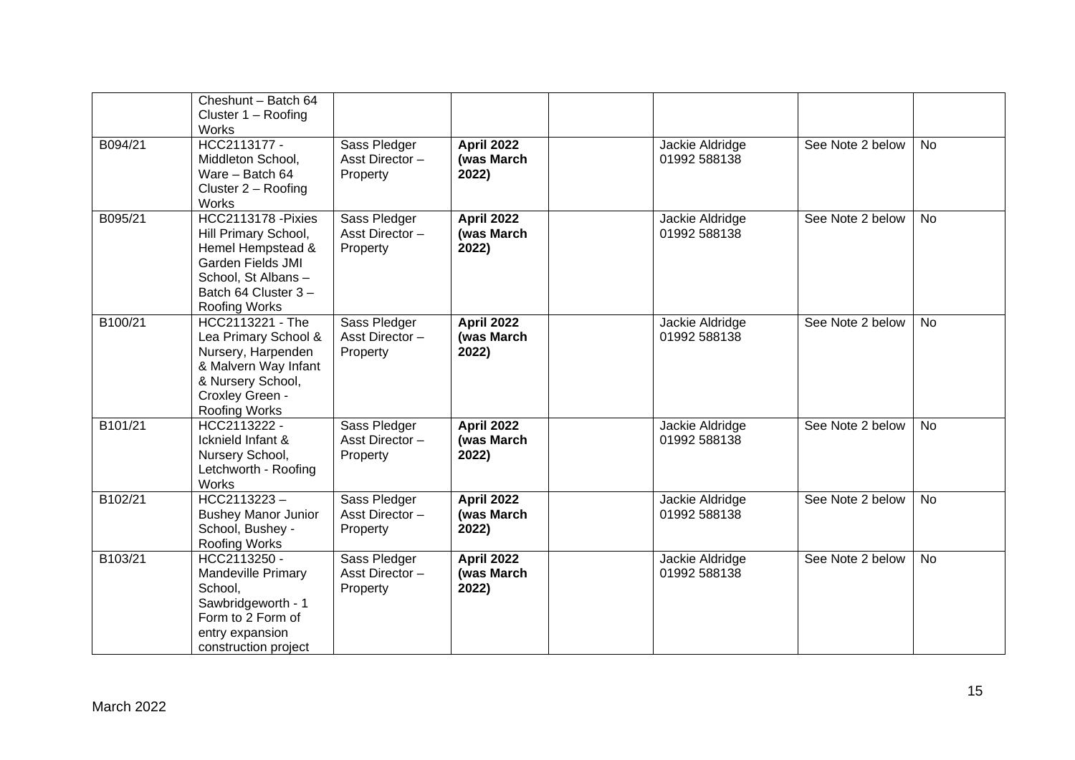|         | Cheshunt - Batch 64<br>Cluster $1 -$ Roofing<br>Works                                                                                                      |                                            |                                          |                                 |                  |           |
|---------|------------------------------------------------------------------------------------------------------------------------------------------------------------|--------------------------------------------|------------------------------------------|---------------------------------|------------------|-----------|
| B094/21 | HCC2113177 -<br>Middleton School,<br>Ware - Batch 64<br>Cluster $2 -$ Roofing<br>Works                                                                     | Sass Pledger<br>Asst Director-<br>Property | <b>April 2022</b><br>(was March<br>2022) | Jackie Aldridge<br>01992 588138 | See Note 2 below | <b>No</b> |
| B095/21 | HCC2113178 - Pixies<br>Hill Primary School,<br>Hemel Hempstead &<br>Garden Fields JMI<br>School, St Albans-<br>Batch 64 Cluster 3-<br><b>Roofing Works</b> | Sass Pledger<br>Asst Director-<br>Property | <b>April 2022</b><br>(was March<br>2022) | Jackie Aldridge<br>01992 588138 | See Note 2 below | <b>No</b> |
| B100/21 | HCC2113221 - The<br>Lea Primary School &<br>Nursery, Harpenden<br>& Malvern Way Infant<br>& Nursery School,<br>Croxley Green -<br>Roofing Works            | Sass Pledger<br>Asst Director-<br>Property | <b>April 2022</b><br>(was March<br>2022) | Jackie Aldridge<br>01992 588138 | See Note 2 below | <b>No</b> |
| B101/21 | HCC2113222 -<br>Icknield Infant &<br>Nursery School,<br>Letchworth - Roofing<br>Works                                                                      | Sass Pledger<br>Asst Director-<br>Property | <b>April 2022</b><br>(was March<br>2022) | Jackie Aldridge<br>01992 588138 | See Note 2 below | <b>No</b> |
| B102/21 | $HCC2113223 -$<br><b>Bushey Manor Junior</b><br>School, Bushey -<br>Roofing Works                                                                          | Sass Pledger<br>Asst Director-<br>Property | <b>April 2022</b><br>(was March<br>2022) | Jackie Aldridge<br>01992 588138 | See Note 2 below | <b>No</b> |
| B103/21 | HCC2113250 -<br><b>Mandeville Primary</b><br>School,<br>Sawbridgeworth - 1<br>Form to 2 Form of<br>entry expansion<br>construction project                 | Sass Pledger<br>Asst Director-<br>Property | <b>April 2022</b><br>(was March<br>2022) | Jackie Aldridge<br>01992 588138 | See Note 2 below | <b>No</b> |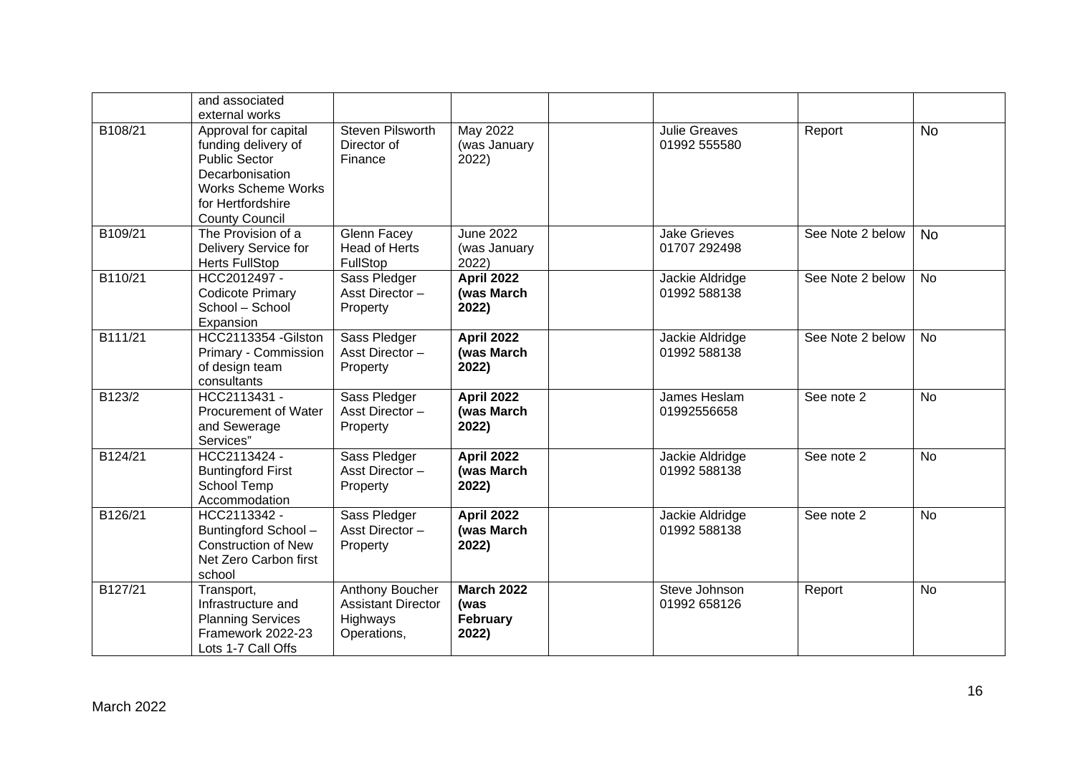|         | and associated<br>external works                                                                                                                                  |                                                                                |                                                |                                      |                  |           |
|---------|-------------------------------------------------------------------------------------------------------------------------------------------------------------------|--------------------------------------------------------------------------------|------------------------------------------------|--------------------------------------|------------------|-----------|
| B108/21 | Approval for capital<br>funding delivery of<br><b>Public Sector</b><br>Decarbonisation<br><b>Works Scheme Works</b><br>for Hertfordshire<br><b>County Council</b> | Steven Pilsworth<br>Director of<br>Finance                                     | May 2022<br>(was January<br>2022)              | <b>Julie Greaves</b><br>01992 555580 | Report           | <b>No</b> |
| B109/21 | The Provision of a<br><b>Delivery Service for</b><br><b>Herts FullStop</b>                                                                                        | Glenn Facey<br><b>Head of Herts</b><br>FullStop                                | <b>June 2022</b><br>(was January<br>2022)      | <b>Jake Grieves</b><br>01707 292498  | See Note 2 below | <b>No</b> |
| B110/21 | HCC2012497 -<br><b>Codicote Primary</b><br>School - School<br>Expansion                                                                                           | Sass Pledger<br>Asst Director-<br>Property                                     | <b>April 2022</b><br>(was March<br>2022)       | Jackie Aldridge<br>01992 588138      | See Note 2 below | <b>No</b> |
| B111/21 | HCC2113354 - Gilston<br>Primary - Commission<br>of design team<br>consultants                                                                                     | Sass Pledger<br>Asst Director-<br>Property                                     | <b>April 2022</b><br>(was March<br>2022)       | Jackie Aldridge<br>01992 588138      | See Note 2 below | <b>No</b> |
| B123/2  | HCC2113431 -<br><b>Procurement of Water</b><br>and Sewerage<br>Services"                                                                                          | Sass Pledger<br>Asst Director-<br>Property                                     | <b>April 2022</b><br>(was March<br>2022)       | James Heslam<br>01992556658          | See note 2       | <b>No</b> |
| B124/21 | HCC2113424 -<br><b>Buntingford First</b><br>School Temp<br>Accommodation                                                                                          | Sass Pledger<br>Asst Director-<br>Property                                     | <b>April 2022</b><br>(was March<br>2022)       | Jackie Aldridge<br>01992 588138      | See note 2       | <b>No</b> |
| B126/21 | HCC2113342 -<br>Buntingford School-<br><b>Construction of New</b><br>Net Zero Carbon first<br>school                                                              | Sass Pledger<br>Asst Director-<br>Property                                     | <b>April 2022</b><br>(was March<br>2022)       | Jackie Aldridge<br>01992 588138      | See note 2       | <b>No</b> |
| B127/21 | Transport,<br>Infrastructure and<br><b>Planning Services</b><br>Framework 2022-23<br>Lots 1-7 Call Offs                                                           | <b>Anthony Boucher</b><br><b>Assistant Director</b><br>Highways<br>Operations, | <b>March 2022</b><br>(was<br>February<br>2022) | Steve Johnson<br>01992 658126        | Report           | <b>No</b> |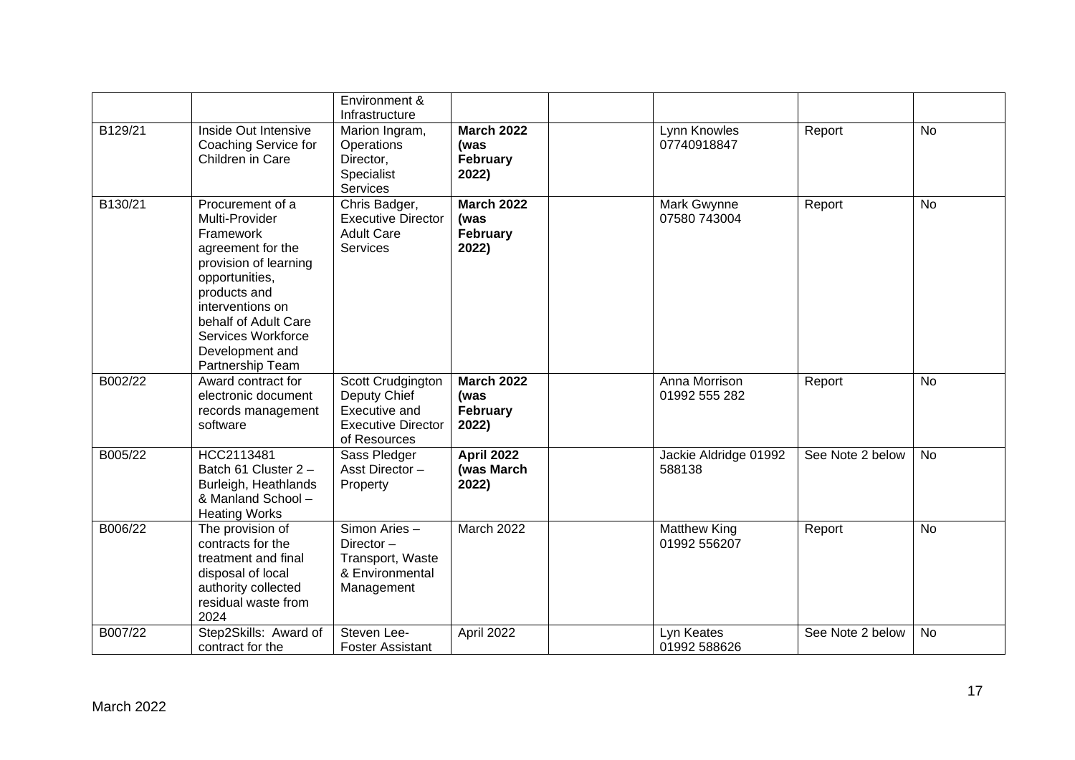|         |                                                                                                                                                                                                                                          | Environment &<br>Infrastructure                                                                 |                                                       |                                     |                  |           |
|---------|------------------------------------------------------------------------------------------------------------------------------------------------------------------------------------------------------------------------------------------|-------------------------------------------------------------------------------------------------|-------------------------------------------------------|-------------------------------------|------------------|-----------|
| B129/21 | Inside Out Intensive<br>Coaching Service for<br>Children in Care                                                                                                                                                                         | Marion Ingram,<br>Operations<br>Director,<br>Specialist<br><b>Services</b>                      | <b>March 2022</b><br>(was<br><b>February</b><br>2022) | Lynn Knowles<br>07740918847         | Report           | <b>No</b> |
| B130/21 | Procurement of a<br>Multi-Provider<br>Framework<br>agreement for the<br>provision of learning<br>opportunities,<br>products and<br>interventions on<br>behalf of Adult Care<br>Services Workforce<br>Development and<br>Partnership Team | Chris Badger,<br><b>Executive Director</b><br><b>Adult Care</b><br>Services                     | <b>March 2022</b><br>(was<br>February<br>2022)        | Mark Gwynne<br>07580 743004         | Report           | <b>No</b> |
| B002/22 | Award contract for<br>electronic document<br>records management<br>software                                                                                                                                                              | Scott Crudgington<br>Deputy Chief<br>Executive and<br><b>Executive Director</b><br>of Resources | <b>March 2022</b><br>(was<br>February<br>2022)        | Anna Morrison<br>01992 555 282      | Report           | <b>No</b> |
| B005/22 | HCC2113481<br>Batch 61 Cluster 2-<br>Burleigh, Heathlands<br>& Manland School -<br><b>Heating Works</b>                                                                                                                                  | Sass Pledger<br>Asst Director-<br>Property                                                      | <b>April 2022</b><br>(was March<br>2022)              | Jackie Aldridge 01992<br>588138     | See Note 2 below | No        |
| B006/22 | The provision of<br>contracts for the<br>treatment and final<br>disposal of local<br>authority collected<br>residual waste from<br>2024                                                                                                  | Simon Aries-<br>Director-<br>Transport, Waste<br>& Environmental<br>Management                  | March 2022                                            | <b>Matthew King</b><br>01992 556207 | Report           | <b>No</b> |
| B007/22 | Step2Skills: Award of<br>contract for the                                                                                                                                                                                                | Steven Lee-<br><b>Foster Assistant</b>                                                          | April 2022                                            | Lyn Keates<br>01992 588626          | See Note 2 below | No        |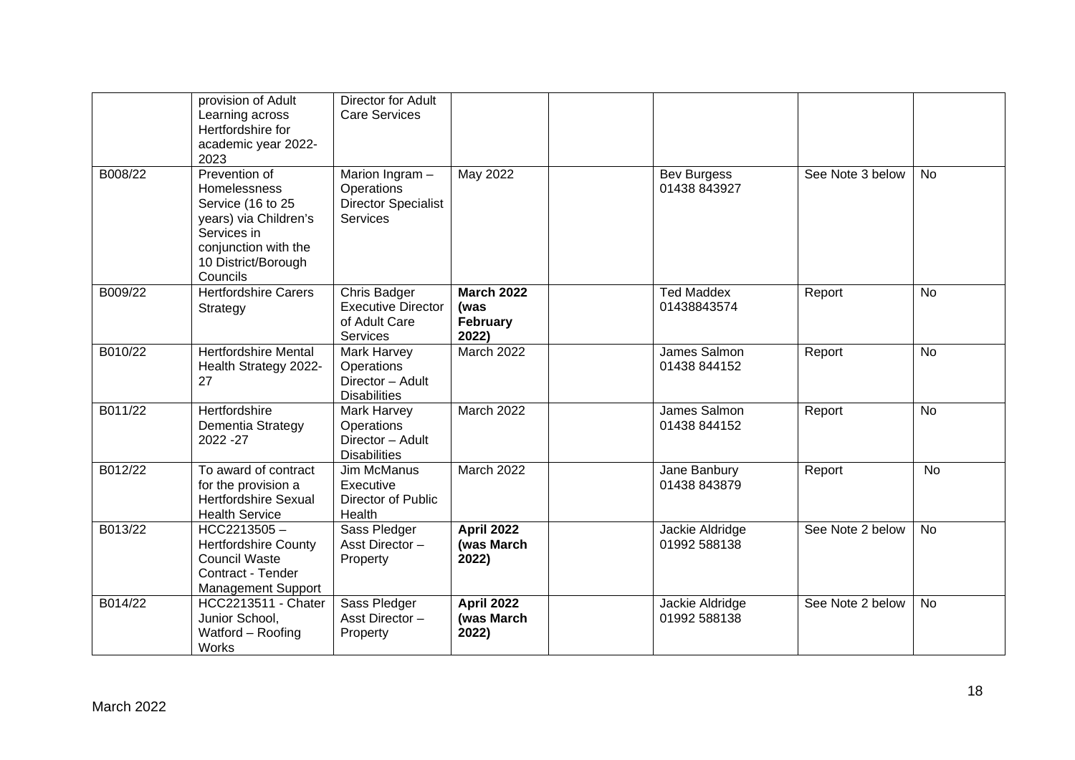|         | provision of Adult<br>Learning across<br>Hertfordshire for<br>academic year 2022-<br>2023                                                             | <b>Director for Adult</b><br><b>Care Services</b>                                |                                                |                                    |                  |           |
|---------|-------------------------------------------------------------------------------------------------------------------------------------------------------|----------------------------------------------------------------------------------|------------------------------------------------|------------------------------------|------------------|-----------|
| B008/22 | Prevention of<br>Homelessness<br>Service (16 to 25<br>years) via Children's<br>Services in<br>conjunction with the<br>10 District/Borough<br>Councils | Marion Ingram $-$<br>Operations<br><b>Director Specialist</b><br><b>Services</b> | May 2022                                       | <b>Bev Burgess</b><br>01438 843927 | See Note 3 below | <b>No</b> |
| B009/22 | <b>Hertfordshire Carers</b><br>Strategy                                                                                                               | Chris Badger<br><b>Executive Director</b><br>of Adult Care<br>Services           | <b>March 2022</b><br>(was<br>February<br>2022) | <b>Ted Maddex</b><br>01438843574   | Report           | <b>No</b> |
| B010/22 | <b>Hertfordshire Mental</b><br>Health Strategy 2022-<br>27                                                                                            | Mark Harvey<br>Operations<br>Director - Adult<br><b>Disabilities</b>             | <b>March 2022</b>                              | James Salmon<br>01438 844152       | Report           | <b>No</b> |
| B011/22 | Hertfordshire<br>Dementia Strategy<br>2022 - 27                                                                                                       | Mark Harvey<br>Operations<br>Director - Adult<br><b>Disabilities</b>             | March 2022                                     | James Salmon<br>01438 844152       | Report           | <b>No</b> |
| B012/22 | To award of contract<br>for the provision a<br><b>Hertfordshire Sexual</b><br><b>Health Service</b>                                                   | <b>Jim McManus</b><br>Executive<br>Director of Public<br>Health                  | March 2022                                     | Jane Banbury<br>01438 843879       | Report           | <b>No</b> |
| B013/22 | $HCC2213505 -$<br><b>Hertfordshire County</b><br><b>Council Waste</b><br>Contract - Tender<br><b>Management Support</b>                               | Sass Pledger<br>Asst Director-<br>Property                                       | <b>April 2022</b><br>(was March<br>2022)       | Jackie Aldridge<br>01992 588138    | See Note 2 below | <b>No</b> |
| B014/22 | <b>HCC2213511 - Chater</b><br>Junior School,<br>Watford - Roofing<br>Works                                                                            | Sass Pledger<br>Asst Director -<br>Property                                      | <b>April 2022</b><br>(was March<br>2022)       | Jackie Aldridge<br>01992 588138    | See Note 2 below | <b>No</b> |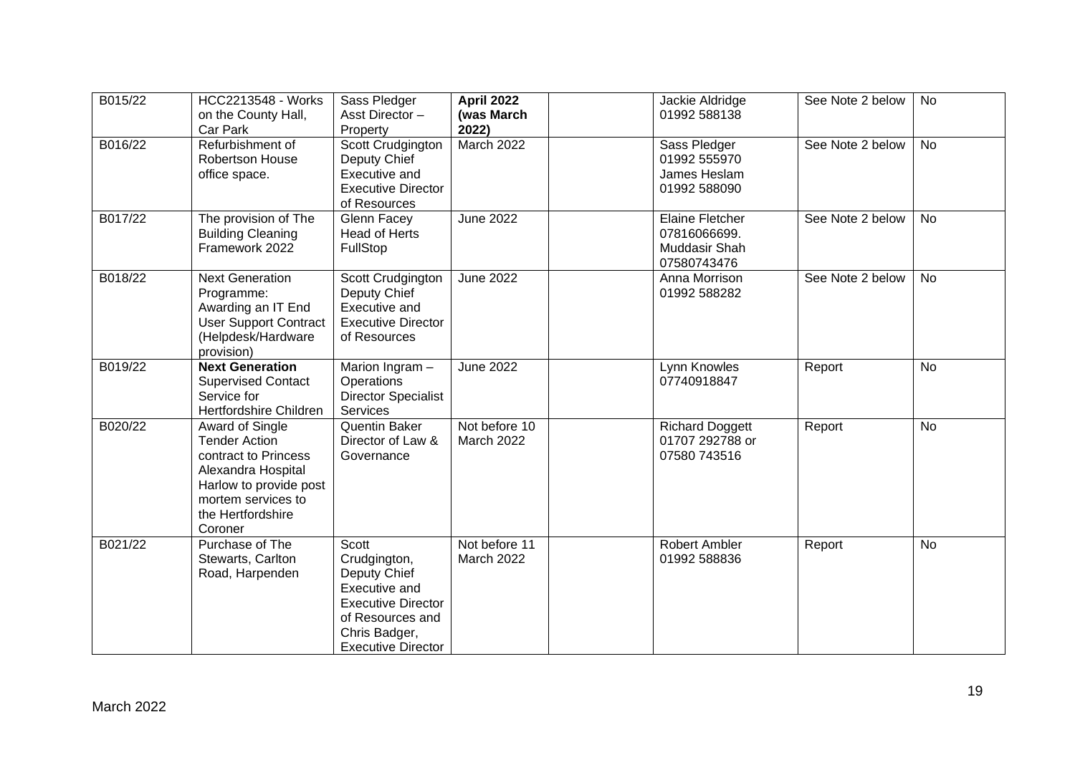| B015/22 | <b>HCC2213548 - Works</b><br>on the County Hall,<br>Car Park                                                                                                          | Sass Pledger<br>Asst Director-<br>Property                                                                                                                   | <b>April 2022</b><br>(was March<br>2022) | Jackie Aldridge<br>01992 588138                                        | See Note 2 below | No        |
|---------|-----------------------------------------------------------------------------------------------------------------------------------------------------------------------|--------------------------------------------------------------------------------------------------------------------------------------------------------------|------------------------------------------|------------------------------------------------------------------------|------------------|-----------|
| B016/22 | Refurbishment of<br>Robertson House<br>office space.                                                                                                                  | Scott Crudgington<br>Deputy Chief<br>Executive and<br><b>Executive Director</b><br>of Resources                                                              | March 2022                               | Sass Pledger<br>01992 555970<br>James Heslam<br>01992 588090           | See Note 2 below | <b>No</b> |
| B017/22 | The provision of The<br><b>Building Cleaning</b><br>Framework 2022                                                                                                    | Glenn Facey<br><b>Head of Herts</b><br>FullStop                                                                                                              | <b>June 2022</b>                         | <b>Elaine Fletcher</b><br>07816066699.<br>Muddasir Shah<br>07580743476 | See Note 2 below | <b>No</b> |
| B018/22 | <b>Next Generation</b><br>Programme:<br>Awarding an IT End<br><b>User Support Contract</b><br>(Helpdesk/Hardware<br>provision)                                        | Scott Crudgington<br>Deputy Chief<br>Executive and<br><b>Executive Director</b><br>of Resources                                                              | <b>June 2022</b>                         | Anna Morrison<br>01992 588282                                          | See Note 2 below | <b>No</b> |
| B019/22 | <b>Next Generation</b><br><b>Supervised Contact</b><br>Service for<br>Hertfordshire Children                                                                          | Marion Ingram -<br>Operations<br><b>Director Specialist</b><br>Services                                                                                      | <b>June 2022</b>                         | Lynn Knowles<br>07740918847                                            | Report           | <b>No</b> |
| B020/22 | Award of Single<br><b>Tender Action</b><br>contract to Princess<br>Alexandra Hospital<br>Harlow to provide post<br>mortem services to<br>the Hertfordshire<br>Coroner | Quentin Baker<br>Director of Law &<br>Governance                                                                                                             | Not before 10<br>March 2022              | <b>Richard Doggett</b><br>01707 292788 or<br>07580 743516              | Report           | <b>No</b> |
| B021/22 | Purchase of The<br>Stewarts, Carlton<br>Road, Harpenden                                                                                                               | Scott<br>Crudgington,<br>Deputy Chief<br><b>Executive and</b><br><b>Executive Director</b><br>of Resources and<br>Chris Badger,<br><b>Executive Director</b> | Not before 11<br>March 2022              | Robert Ambler<br>01992 588836                                          | Report           | No        |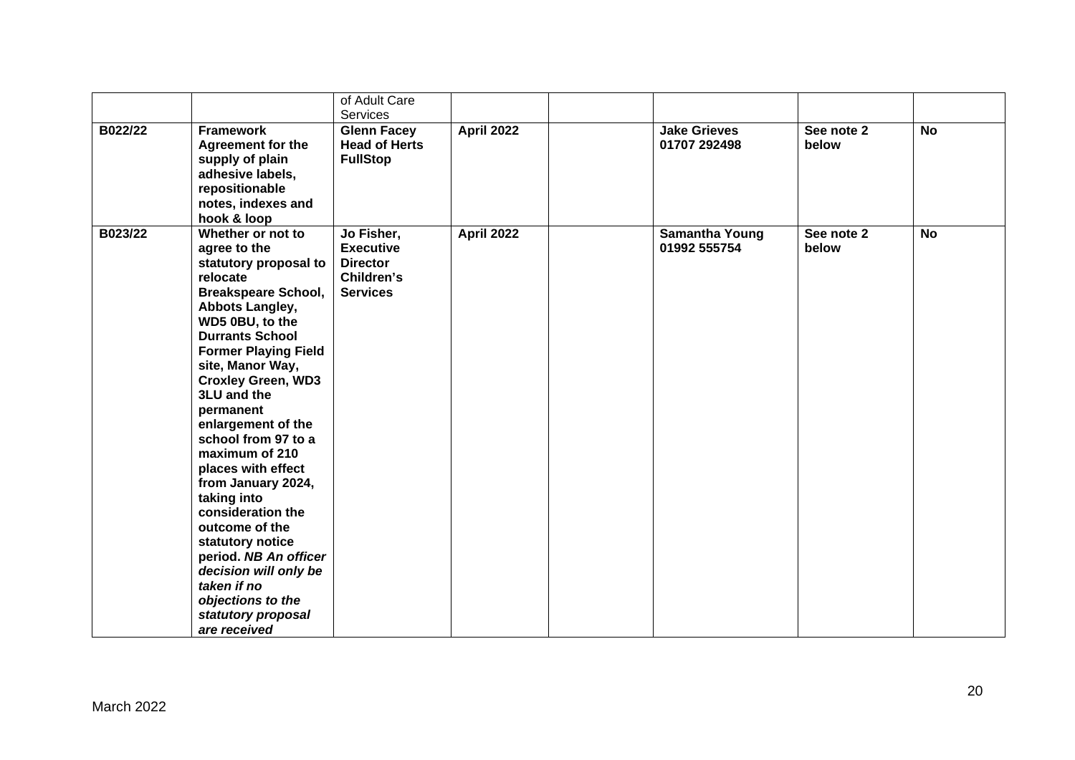|         |                                                                                                                                                                                                                                                                                                                                                                                                                                                                                                                                                                                                   | of Adult Care                                                                      |                   |                                       |                     |           |
|---------|---------------------------------------------------------------------------------------------------------------------------------------------------------------------------------------------------------------------------------------------------------------------------------------------------------------------------------------------------------------------------------------------------------------------------------------------------------------------------------------------------------------------------------------------------------------------------------------------------|------------------------------------------------------------------------------------|-------------------|---------------------------------------|---------------------|-----------|
| B022/22 | <b>Framework</b><br><b>Agreement for the</b><br>supply of plain<br>adhesive labels,<br>repositionable<br>notes, indexes and<br>hook & loop                                                                                                                                                                                                                                                                                                                                                                                                                                                        | Services<br><b>Glenn Facey</b><br><b>Head of Herts</b><br><b>FullStop</b>          | April 2022        | <b>Jake Grieves</b><br>01707 292498   | See note 2<br>below | <b>No</b> |
| B023/22 | Whether or not to<br>agree to the<br>statutory proposal to<br>relocate<br><b>Breakspeare School,</b><br>Abbots Langley,<br>WD5 0BU, to the<br><b>Durrants School</b><br><b>Former Playing Field</b><br>site, Manor Way,<br><b>Croxley Green, WD3</b><br>3LU and the<br>permanent<br>enlargement of the<br>school from 97 to a<br>maximum of 210<br>places with effect<br>from January 2024,<br>taking into<br>consideration the<br>outcome of the<br>statutory notice<br>period. NB An officer<br>decision will only be<br>taken if no<br>objections to the<br>statutory proposal<br>are received | Jo Fisher,<br><b>Executive</b><br><b>Director</b><br>Children's<br><b>Services</b> | <b>April 2022</b> | <b>Samantha Young</b><br>01992 555754 | See note 2<br>below | <b>No</b> |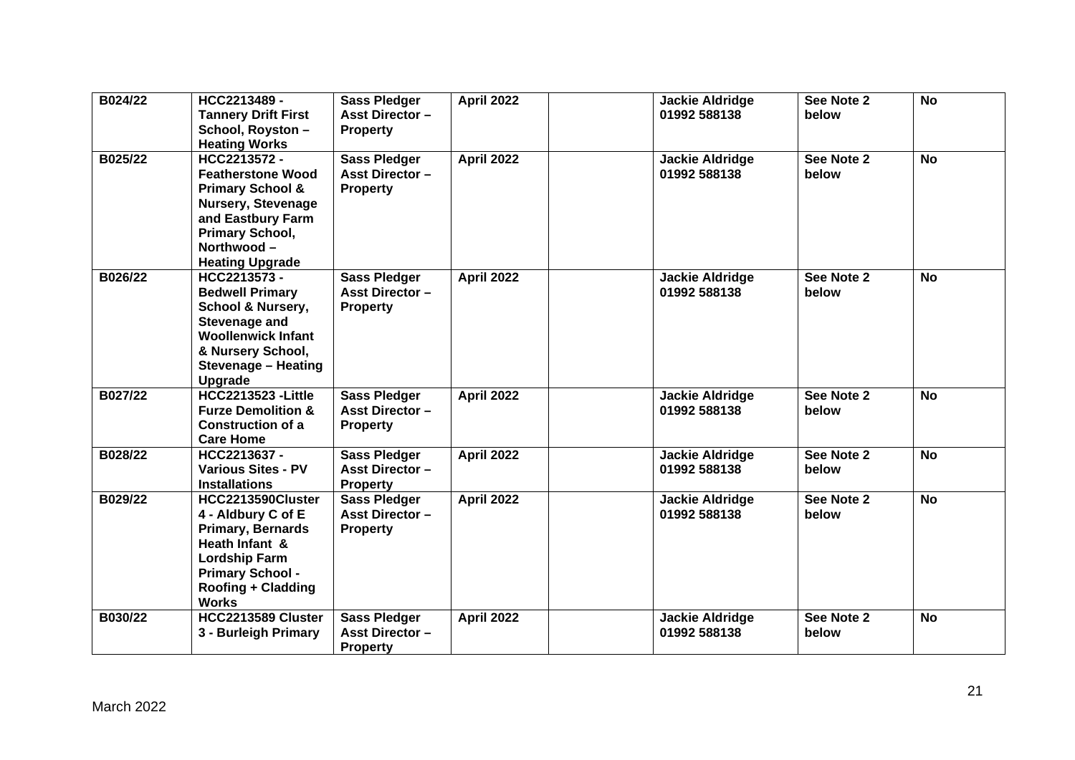| B024/22 | HCC2213489 -<br><b>Tannery Drift First</b><br>School, Royston-<br><b>Heating Works</b>                                                                                                          | <b>Sass Pledger</b><br><b>Asst Director -</b><br><b>Property</b> | <b>April 2022</b> | <b>Jackie Aldridge</b><br>01992 588138 | See Note 2<br>below | <b>No</b> |
|---------|-------------------------------------------------------------------------------------------------------------------------------------------------------------------------------------------------|------------------------------------------------------------------|-------------------|----------------------------------------|---------------------|-----------|
| B025/22 | HCC2213572-<br><b>Featherstone Wood</b><br><b>Primary School &amp;</b><br><b>Nursery, Stevenage</b><br>and Eastbury Farm<br><b>Primary School,</b><br>Northwood-<br><b>Heating Upgrade</b>      | <b>Sass Pledger</b><br><b>Asst Director -</b><br><b>Property</b> | <b>April 2022</b> | <b>Jackie Aldridge</b><br>01992 588138 | See Note 2<br>below | <b>No</b> |
| B026/22 | HCC2213573-<br><b>Bedwell Primary</b><br><b>School &amp; Nursery,</b><br><b>Stevenage and</b><br><b>Woollenwick Infant</b><br>& Nursery School,<br><b>Stevenage - Heating</b><br><b>Upgrade</b> | <b>Sass Pledger</b><br><b>Asst Director -</b><br><b>Property</b> | April 2022        | <b>Jackie Aldridge</b><br>01992 588138 | See Note 2<br>below | <b>No</b> |
| B027/22 | <b>HCC2213523 - Little</b><br><b>Furze Demolition &amp;</b><br><b>Construction of a</b><br><b>Care Home</b>                                                                                     | <b>Sass Pledger</b><br><b>Asst Director -</b><br><b>Property</b> | April 2022        | <b>Jackie Aldridge</b><br>01992 588138 | See Note 2<br>below | <b>No</b> |
| B028/22 | HCC2213637-<br>Various Sites - PV<br><b>Installations</b>                                                                                                                                       | <b>Sass Pledger</b><br><b>Asst Director -</b><br><b>Property</b> | April 2022        | <b>Jackie Aldridge</b><br>01992 588138 | See Note 2<br>below | <b>No</b> |
| B029/22 | HCC2213590Cluster<br>4 - Aldbury C of E<br><b>Primary, Bernards</b><br>Heath Infant &<br><b>Lordship Farm</b><br><b>Primary School -</b><br><b>Roofing + Cladding</b><br><b>Works</b>           | <b>Sass Pledger</b><br><b>Asst Director -</b><br><b>Property</b> | <b>April 2022</b> | <b>Jackie Aldridge</b><br>01992 588138 | See Note 2<br>below | <b>No</b> |
| B030/22 | HCC2213589 Cluster<br>3 - Burleigh Primary                                                                                                                                                      | <b>Sass Pledger</b><br><b>Asst Director -</b><br><b>Property</b> | <b>April 2022</b> | <b>Jackie Aldridge</b><br>01992 588138 | See Note 2<br>below | <b>No</b> |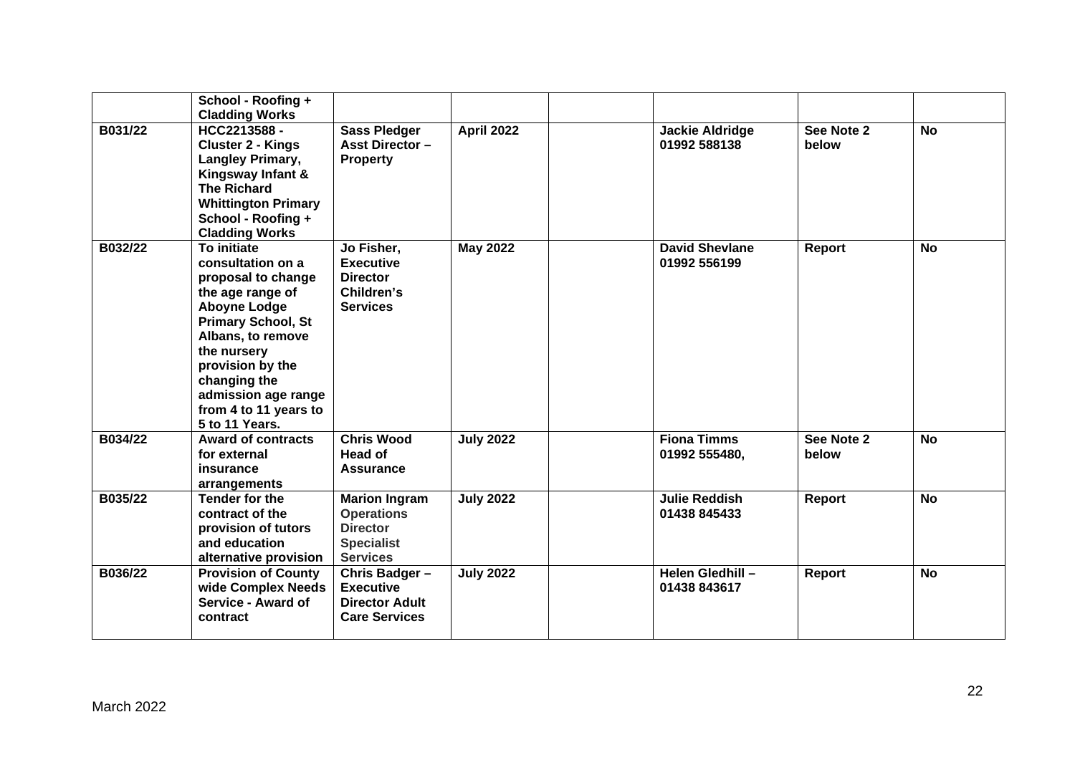|         | School - Roofing +<br><b>Cladding Works</b>                                                                                                                                                                                                                              |                                                                                                      |                   |                                        |                     |           |
|---------|--------------------------------------------------------------------------------------------------------------------------------------------------------------------------------------------------------------------------------------------------------------------------|------------------------------------------------------------------------------------------------------|-------------------|----------------------------------------|---------------------|-----------|
| B031/22 | HCC2213588-<br><b>Cluster 2 - Kings</b><br>Langley Primary,<br>Kingsway Infant &<br><b>The Richard</b><br><b>Whittington Primary</b><br>School - Roofing +<br><b>Cladding Works</b>                                                                                      | <b>Sass Pledger</b><br><b>Asst Director -</b><br><b>Property</b>                                     | <b>April 2022</b> | <b>Jackie Aldridge</b><br>01992 588138 | See Note 2<br>below | <b>No</b> |
| B032/22 | To initiate<br>consultation on a<br>proposal to change<br>the age range of<br><b>Aboyne Lodge</b><br><b>Primary School, St</b><br>Albans, to remove<br>the nursery<br>provision by the<br>changing the<br>admission age range<br>from 4 to 11 years to<br>5 to 11 Years. | Jo Fisher,<br><b>Executive</b><br><b>Director</b><br>Children's<br><b>Services</b>                   | <b>May 2022</b>   | <b>David Shevlane</b><br>01992 556199  | Report              | <b>No</b> |
| B034/22 | <b>Award of contracts</b><br>for external<br>insurance<br>arrangements                                                                                                                                                                                                   | <b>Chris Wood</b><br>Head of<br>Assurance                                                            | <b>July 2022</b>  | <b>Fiona Timms</b><br>01992 555480,    | See Note 2<br>below | <b>No</b> |
| B035/22 | Tender for the<br>contract of the<br>provision of tutors<br>and education<br>alternative provision                                                                                                                                                                       | <b>Marion Ingram</b><br><b>Operations</b><br><b>Director</b><br><b>Specialist</b><br><b>Services</b> | <b>July 2022</b>  | <b>Julie Reddish</b><br>01438 845433   | Report              | <b>No</b> |
| B036/22 | <b>Provision of County</b><br>wide Complex Needs<br>Service - Award of<br>contract                                                                                                                                                                                       | Chris Badger-<br><b>Executive</b><br><b>Director Adult</b><br><b>Care Services</b>                   | <b>July 2022</b>  | Helen Gledhill -<br>01438 843617       | Report              | <b>No</b> |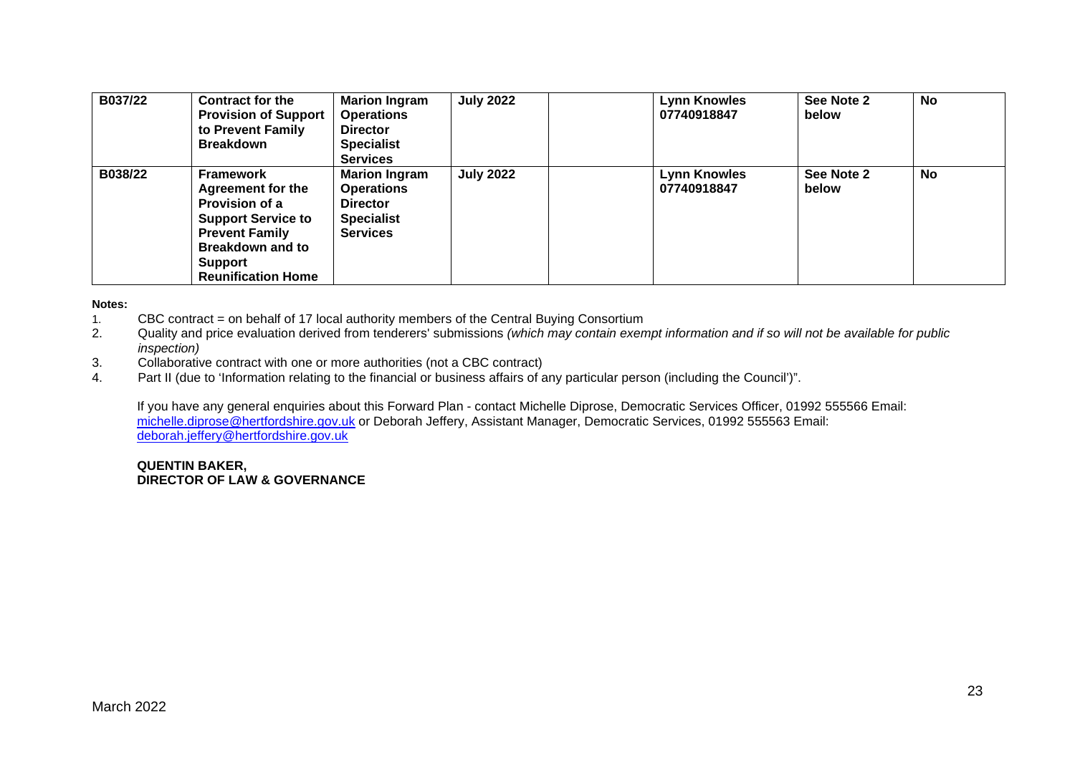| B037/22 | <b>Contract for the</b><br><b>Provision of Support</b><br>to Prevent Family<br><b>Breakdown</b>                                                                                         | <b>Marion Ingram</b><br><b>Operations</b><br><b>Director</b><br><b>Specialist</b><br><b>Services</b> | <b>July 2022</b> | <b>Lynn Knowles</b><br>07740918847 | See Note 2<br>below | <b>No</b> |
|---------|-----------------------------------------------------------------------------------------------------------------------------------------------------------------------------------------|------------------------------------------------------------------------------------------------------|------------------|------------------------------------|---------------------|-----------|
| B038/22 | <b>Framework</b><br><b>Agreement for the</b><br>Provision of a<br><b>Support Service to</b><br><b>Prevent Family</b><br><b>Breakdown and to</b><br>Support<br><b>Reunification Home</b> | <b>Marion Ingram</b><br><b>Operations</b><br><b>Director</b><br><b>Specialist</b><br><b>Services</b> | <b>July 2022</b> | <b>Lynn Knowles</b><br>07740918847 | See Note 2<br>below | <b>No</b> |

### **Notes:**

- 1. CBC contract = on behalf of 17 local authority members of the Central Buying Consortium
- 2. Quality and price evaluation derived from tenderers' submissions *(which may contain exempt information and if so will not be available for public inspection)*
- 3. Collaborative contract with one or more authorities (not a CBC contract)
- 4. Part II (due to 'Information relating to the financial or business affairs of any particular person (including the Council')".

If you have any general enquiries about this Forward Plan - contact Michelle Diprose, Democratic Services Officer, 01992 555566 Email: [michelle.diprose@hertfordshire.gov.uk](mailto:michelle.diprose@hertfordshire.gov.uk) or Deborah Jeffery, Assistant Manager, Democratic Services, 01992 555563 Email: [deborah.jeffery@hertfordshire.gov.uk](mailto:deborah.jeffery@hertfordshire.gov.uk)

### **QUENTIN BAKER, DIRECTOR OF LAW & GOVERNANCE**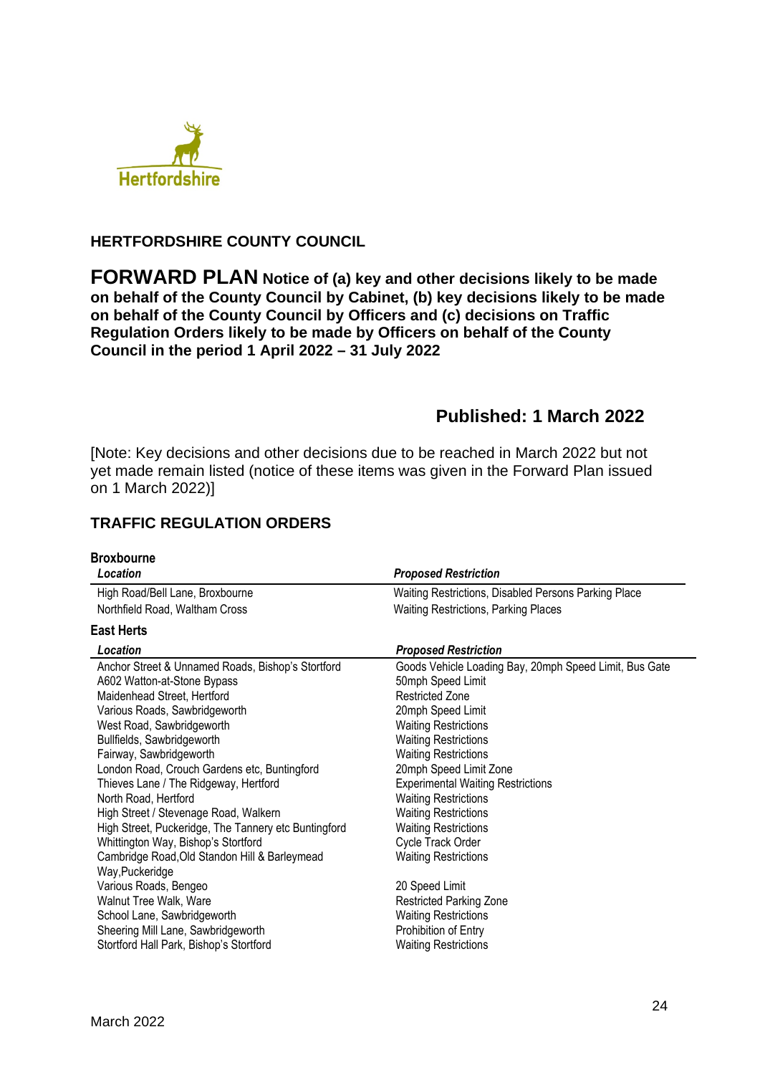

## **HERTFORDSHIRE COUNTY COUNCIL**

**FORWARD PLAN Notice of (a) key and other decisions likely to be made on behalf of the County Council by Cabinet, (b) key decisions likely to be made on behalf of the County Council by Officers and (c) decisions on Traffic Regulation Orders likely to be made by Officers on behalf of the County Council in the period 1 April 2022 – 31 July 2022** 

# **Published: 1 March 2022**

[Note: Key decisions and other decisions due to be reached in March 2022 but not yet made remain listed (notice of these items was given in the Forward Plan issued on 1 March 2022)]

## **TRAFFIC REGULATION ORDERS**

| <b>Broxbourne</b>                                    |                                                        |
|------------------------------------------------------|--------------------------------------------------------|
| Location                                             | <b>Proposed Restriction</b>                            |
| High Road/Bell Lane, Broxbourne                      | Waiting Restrictions, Disabled Persons Parking Place   |
| Northfield Road, Waltham Cross                       | <b>Waiting Restrictions, Parking Places</b>            |
| <b>East Herts</b>                                    |                                                        |
| Location                                             | <b>Proposed Restriction</b>                            |
| Anchor Street & Unnamed Roads, Bishop's Stortford    | Goods Vehicle Loading Bay, 20mph Speed Limit, Bus Gate |
| A602 Watton-at-Stone Bypass                          | 50mph Speed Limit                                      |
| Maidenhead Street, Hertford                          | <b>Restricted Zone</b>                                 |
| Various Roads, Sawbridgeworth                        | 20mph Speed Limit                                      |
| West Road, Sawbridgeworth                            | <b>Waiting Restrictions</b>                            |
| Bullfields, Sawbridgeworth                           | <b>Waiting Restrictions</b>                            |
| Fairway, Sawbridgeworth                              | <b>Waiting Restrictions</b>                            |
| London Road, Crouch Gardens etc, Buntingford         | 20mph Speed Limit Zone                                 |
| Thieves Lane / The Ridgeway, Hertford                | <b>Experimental Waiting Restrictions</b>               |
| North Road, Hertford                                 | <b>Waiting Restrictions</b>                            |
| High Street / Stevenage Road, Walkern                | <b>Waiting Restrictions</b>                            |
| High Street, Puckeridge, The Tannery etc Buntingford | <b>Waiting Restrictions</b>                            |
| Whittington Way, Bishop's Stortford                  | Cycle Track Order                                      |
| Cambridge Road, Old Standon Hill & Barleymead        | <b>Waiting Restrictions</b>                            |
| Way, Puckeridge                                      |                                                        |
| Various Roads, Bengeo                                | 20 Speed Limit                                         |
| Walnut Tree Walk, Ware                               | <b>Restricted Parking Zone</b>                         |
| School Lane, Sawbridgeworth                          | <b>Waiting Restrictions</b>                            |
| Sheering Mill Lane, Sawbridgeworth                   | Prohibition of Entry                                   |
| Stortford Hall Park, Bishop's Stortford              | <b>Waiting Restrictions</b>                            |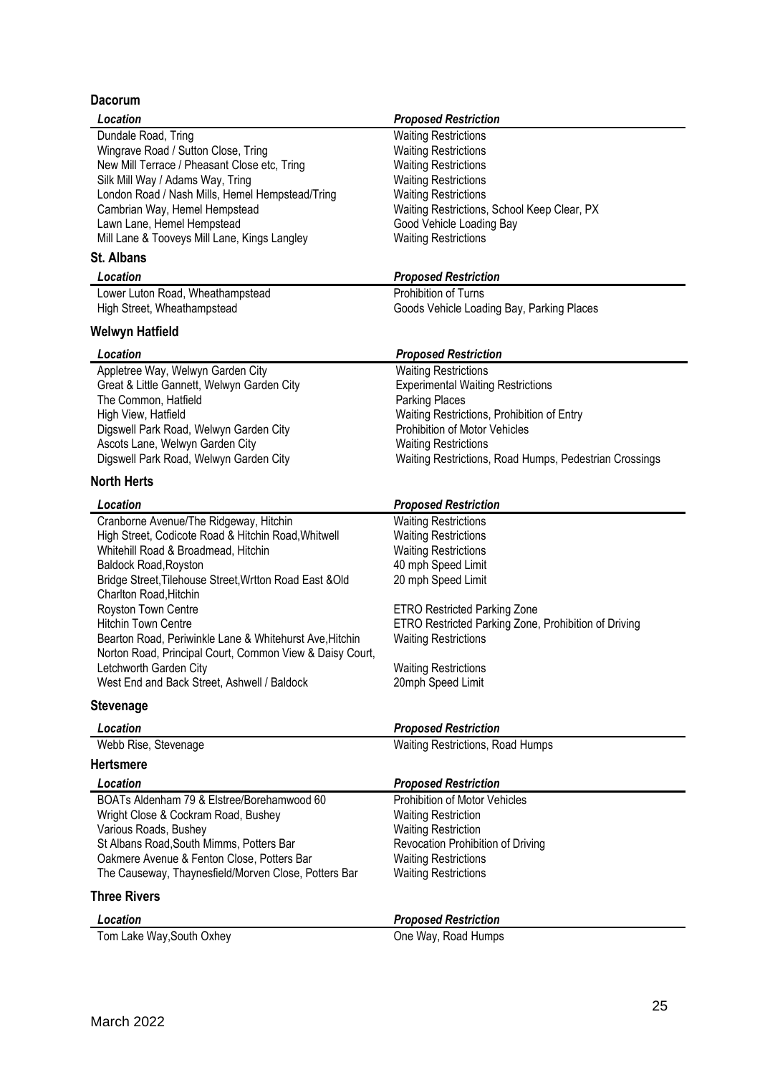## **Dacorum**

| Location                                                 | <b>Proposed Restriction</b>                            |
|----------------------------------------------------------|--------------------------------------------------------|
| Dundale Road, Tring                                      | <b>Waiting Restrictions</b>                            |
| Wingrave Road / Sutton Close, Tring                      | <b>Waiting Restrictions</b>                            |
| New Mill Terrace / Pheasant Close etc, Tring             | <b>Waiting Restrictions</b>                            |
| Silk Mill Way / Adams Way, Tring                         | <b>Waiting Restrictions</b>                            |
| London Road / Nash Mills, Hemel Hempstead/Tring          | <b>Waiting Restrictions</b>                            |
| Cambrian Way, Hemel Hempstead                            | Waiting Restrictions, School Keep Clear, PX            |
| Lawn Lane, Hemel Hempstead                               | Good Vehicle Loading Bay                               |
| Mill Lane & Tooveys Mill Lane, Kings Langley             | <b>Waiting Restrictions</b>                            |
| <b>St. Albans</b>                                        |                                                        |
| Location                                                 | <b>Proposed Restriction</b>                            |
| Lower Luton Road, Wheathampstead                         | Prohibition of Turns                                   |
| High Street, Wheathampstead                              | Goods Vehicle Loading Bay, Parking Places              |
| Welwyn Hatfield                                          |                                                        |
| Location                                                 | <b>Proposed Restriction</b>                            |
| Appletree Way, Welwyn Garden City                        | <b>Waiting Restrictions</b>                            |
| Great & Little Gannett, Welwyn Garden City               | <b>Experimental Waiting Restrictions</b>               |
| The Common, Hatfield                                     | <b>Parking Places</b>                                  |
| High View, Hatfield                                      | Waiting Restrictions, Prohibition of Entry             |
| Digswell Park Road, Welwyn Garden City                   | <b>Prohibition of Motor Vehicles</b>                   |
| Ascots Lane, Welwyn Garden City                          | <b>Waiting Restrictions</b>                            |
| Digswell Park Road, Welwyn Garden City                   | Waiting Restrictions, Road Humps, Pedestrian Crossings |
| <b>North Herts</b>                                       |                                                        |
| Location                                                 | <b>Proposed Restriction</b>                            |
| Cranborne Avenue/The Ridgeway, Hitchin                   | <b>Waiting Restrictions</b>                            |
| High Street, Codicote Road & Hitchin Road, Whitwell      | <b>Waiting Restrictions</b>                            |
| Whitehill Road & Broadmead, Hitchin                      | <b>Waiting Restrictions</b>                            |
| <b>Baldock Road, Royston</b>                             | 40 mph Speed Limit                                     |
| Bridge Street, Tilehouse Street, Wrtton Road East & Old  | 20 mph Speed Limit                                     |
| Charlton Road, Hitchin                                   |                                                        |
| Royston Town Centre                                      | <b>ETRO Restricted Parking Zone</b>                    |
| <b>Hitchin Town Centre</b>                               | ETRO Restricted Parking Zone, Prohibition of Driving   |
| Bearton Road, Periwinkle Lane & Whitehurst Ave, Hitchin  | <b>Waiting Restrictions</b>                            |
| Norton Road, Principal Court, Common View & Daisy Court, |                                                        |
| Letchworth Garden City                                   | <b>Waiting Restrictions</b>                            |
| West End and Back Street, Ashwell / Baldock              | 20mph Speed Limit                                      |
| <b>Stevenage</b>                                         |                                                        |
| Location                                                 | <b>Proposed Restriction</b>                            |
| Webb Rise, Stevenage                                     | Waiting Restrictions, Road Humps                       |
| <b>Hertsmere</b>                                         |                                                        |
| Location                                                 | <b>Proposed Restriction</b>                            |
| BOATs Aldenham 79 & Elstree/Borehamwood 60               | <b>Prohibition of Motor Vehicles</b>                   |
| Wright Close & Cockram Road, Bushey                      | <b>Waiting Restriction</b>                             |
| Various Roads, Bushey                                    | <b>Waiting Restriction</b>                             |
| St Albans Road, South Mimms, Potters Bar                 | Revocation Prohibition of Driving                      |
| Oakmere Avenue & Fenton Close, Potters Bar               | <b>Waiting Restrictions</b>                            |
| The Causeway, Thaynesfield/Morven Close, Potters Bar     | <b>Waiting Restrictions</b>                            |
| <b>Three Rivers</b>                                      |                                                        |
| Location                                                 | <b>Proposed Restriction</b>                            |
|                                                          |                                                        |